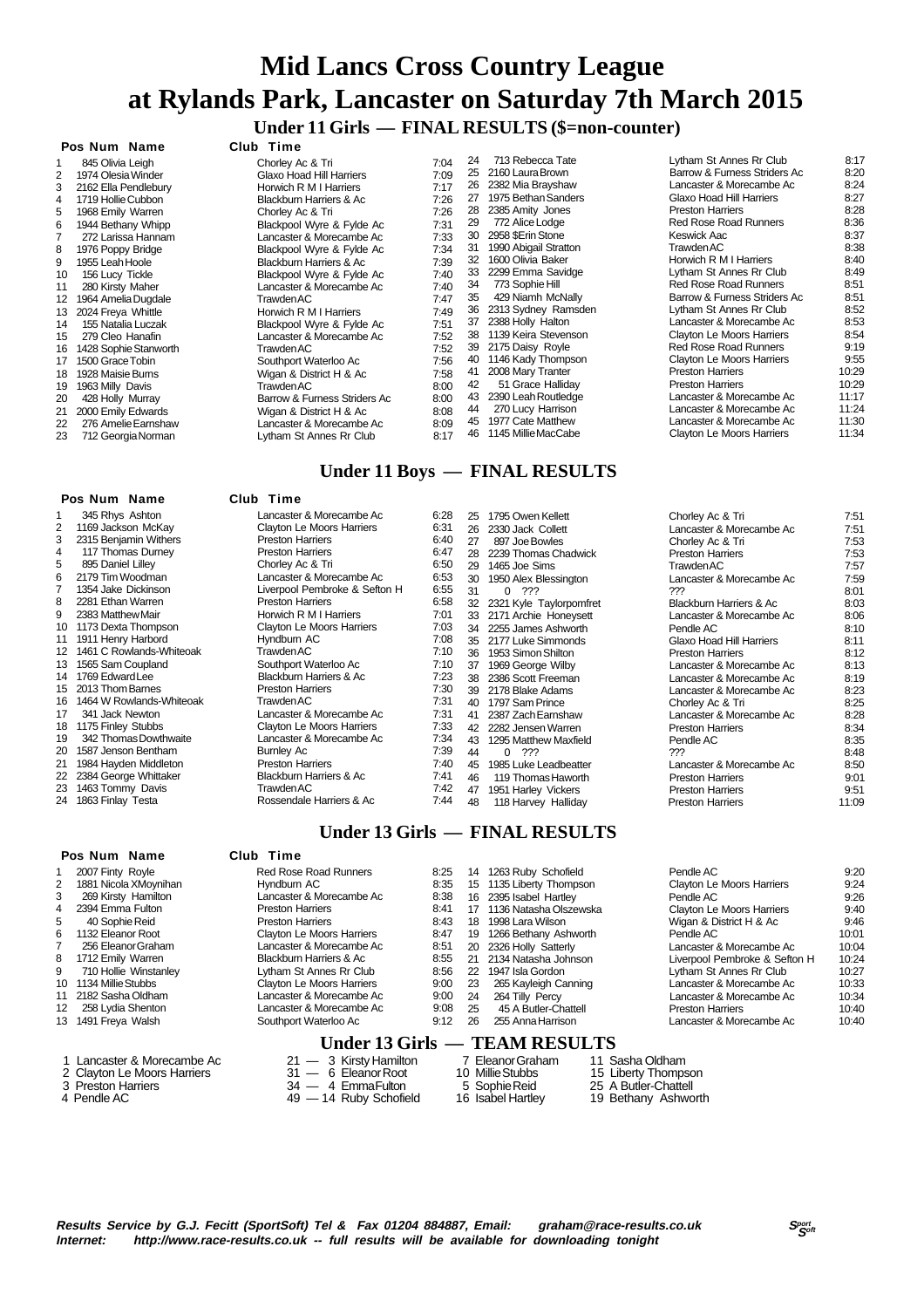# **Mid Lancs Cross Country League at Rylands Park, Lancaster on Saturday 7th March 2015 Under 11 Girls — FINAL RESULTS (\$=non-counter)**

### **Pos Num Name Club Time**

| 1              | 845 Olivia Leigh      |
|----------------|-----------------------|
| 2              | 1974 Olesia Winder    |
| 3              | 2162 Ella Pendlebury  |
| 4              | 1719 Hollie Cubbon    |
| 5              | 1968 Emily Warren     |
| 6              | 1944 Bethany Whipp    |
| $\overline{7}$ | 272 Larissa Hannam    |
| 8              | 1976 Poppy Bridge     |
| 9              | 1955 Leah Hoole       |
| 10             | 156 Lucy Tickle       |
| 11             | 280 Kirsty Maher      |
| 12             | 1964 Amelia Dugdale   |
| 13             | 2024 Freya Whittle    |
| 14             | 155 Natalia Luczak    |
| 15             | 279 Cleo Hanafin      |
| 16             | 1428 Sophie Stanworth |
| 17             | 1500 Grace Tobin      |
| 18             | 1928 Maisie Burns     |
| 19             | 1963 Milly Davis      |
| 20             | 428 Holly Murray      |
| 21             | 2000 Emily Edwards    |
| 22             | 276 Amelie Earnshaw   |
| 23             | 712 Georgia Norman    |

#### **Pos Num Name Club Time**

|     | FOS NUILL NAILLE         | uuu<br>-------                |      |
|-----|--------------------------|-------------------------------|------|
| 1   | 345 Rhys Ashton          | Lancaster & Morecambe Ac      | 6:28 |
| 2   | 1169 Jackson McKay       | Clayton Le Moors Harriers     | 6:31 |
| 3   | 2315 Benjamin Withers    | <b>Preston Harriers</b>       | 6:40 |
| 4   | 117 Thomas Durney        | <b>Preston Harriers</b>       | 6:47 |
| 5   | 895 Daniel Lilley        | Chorley Ac & Tri              | 6:50 |
| 6   | 2179 Tim Woodman         | Lancaster & Morecambe Ac      | 6:53 |
| 7   | 1354 Jake Dickinson      | Liverpool Pembroke & Sefton H | 6:55 |
| 8   | 2281 Ethan Warren        | <b>Preston Harriers</b>       | 6:58 |
| 9   | 2383 Matthew Mair        | Horwich R M I Harriers        | 7:01 |
| 10  | 1173 Dexta Thompson      | Clayton Le Moors Harriers     | 7:03 |
| 11  | 1911 Henry Harbord       | Hyndburn AC                   | 7:08 |
| 12. | 1461 C Rowlands-Whiteoak | <b>Trawden AC</b>             | 7:10 |
| 13  | 1565 Sam Coupland        | Southport Waterloo Ac         | 7:10 |
| 14  | 1769 Edward Lee          | Blackburn Harriers & Ac       | 7:23 |
| 15  | 2013 Thom Barnes         | <b>Preston Harriers</b>       | 7:30 |
| 16  | 1464 W Rowlands-Whiteoak | Trawden AC                    | 7:31 |
| 17  | 341 Jack Newton          | Lancaster & Morecambe Ac      | 7:31 |
| 18  | 1175 Finley Stubbs       | Clayton Le Moors Harriers     | 7:33 |
| 19  | 342 Thomas Dowthwaite    | Lancaster & Morecambe Ac      | 7:34 |
| 20  | 1587 Jenson Bentham      | <b>Burnley Ac</b>             | 7:39 |
| 21  | 1984 Hayden Middleton    | <b>Preston Harriers</b>       | 7:40 |
| 22  | 2384 George Whittaker    | Blackburn Harriers & Ac       | 7:41 |
| 23  | 1463 Tommy Davis         | TrawdenAC                     | 7:42 |
| 24  | 1863 Finlay Testa        | Rossendale Harriers & Ac      | 7:44 |
|     |                          |                               |      |

### **Pos Num Name Club Time**

| 1              | 2007 Finty Royle      |
|----------------|-----------------------|
| $\overline{2}$ | 1881 Nicola XMoynihan |
| 3              | 269 Kirsty Hamilton   |
| 4              | 2394 Emma Fulton      |
| 5              | 40 Sophie Reid        |
| 6              | 1132 Eleanor Root     |
| $\overline{7}$ | 256 Eleanor Graham    |
| 8              | 1712 Emily Warren     |
| 9              | 710 Hollie Winstanley |
| 10             | 1134 Millie Stubbs    |
| 11             | 2182 Sasha Oldham     |
| 12             | 258 Lydia Shenton     |
| 13             | 1491 Freva Walsh      |

- 
- 
- 

# 1 845 Ohorley Ac & Tri 7:04 2 1974 Olesia Winder Glaxo Hoad Hill Harriers 7:09

| 3  | 2162 Ella Pendlebury  | Horwich R M I Harriers       | 7:17 |    | 26 2382 Mia Brayshaw  |
|----|-----------------------|------------------------------|------|----|-----------------------|
| 4  | 1719 Hollie Cubbon    | Blackburn Harriers & Ac      | 7:26 | 27 | 1975 Bethan Sanders   |
| 5  | 1968 Emily Warren     | Chorley Ac & Tri             | 7:26 | 28 | 2385 Amity Jones      |
| 6  | 1944 Bethany Whipp    | Blackpool Wyre & Fylde Ac    | 7:31 | 29 | 772 Alice Lodge       |
| 7  | 272 Larissa Hannam    | Lancaster & Morecambe Ac     | 7:33 | 30 | 2958 \$Erin Stone     |
| 8  | 1976 Poppy Bridge     | Blackpool Wyre & Fylde Ac    | 7:34 | 31 | 1990 Abigail Stratton |
| 9  | 1955 Leah Hoole       | Blackburn Harriers & Ac      | 7:39 | 32 | 1600 Olivia Baker     |
| 10 | 156 Lucy Tickle       | Blackpool Wyre & Fylde Ac    | 7:40 | 33 | 2299 Emma Savidge     |
| 11 | 280 Kirsty Maher      | Lancaster & Morecambe Ac     | 7:40 | 34 | 773 Sophie Hill       |
| 12 | 1964 Amelia Dugdale   | <b>Trawden AC</b>            | 7:47 | 35 | 429 Niamh McNally     |
| 13 | 2024 Freya Whittle    | Horwich R M I Harriers       | 7:49 | 36 | 2313 Sydney Ramsden   |
| 14 | 155 Natalia Luczak    | Blackpool Wyre & Fylde Ac    | 7:51 | 37 | 2388 Holly Halton     |
| 15 | 279 Cleo Hanafin      | Lancaster & Morecambe Ac     | 7:52 | 38 | 1139 Keira Stevenson  |
| 16 | 1428 Sophie Stanworth | Trawden AC                   | 7:52 | 39 | 2175 Daisy Royle      |
| 17 | 1500 Grace Tobin      | Southport Waterloo Ac        | 7:56 | 40 | 1146 Kady Thompson    |
| 18 | 1928 Maisie Burns     | Wigan & District H & Ac      | 7:58 | 41 | 2008 Mary Tranter     |
| 19 | 1963 Milly Davis      | Trawden AC                   | 8:00 | 42 | 51 Grace Halliday     |
| 20 | 428 Holly Murray      | Barrow & Furness Striders Ac | 8:00 | 43 | 2390 Leah Routledge   |
| 21 | 2000 Emily Edwards    | Wigan & District H & Ac      | 8:08 | 44 | 270 Lucy Harrison     |
| 22 | 276 Amelie Earnshaw   | Lancaster & Morecambe Ac     | 8:09 | 45 | 1977 Cate Matthew     |
| 23 | 712 Georgia Norman    | Lytham St Annes Rr Club      | 8:17 | 46 | 1145 Millie MacCabe   |
|    |                       |                              |      |    |                       |

# **Under 11 Boys — FINAL RESULTS**

#### 1 Lancaster & Morecambe Ac 6:28<br>Clayton Le Moors Harriers 6:31 2 12/16 Clayton Le Moors Harriers 6:31<br>Preston Harriers 6:40 3 2315 Preston Harriers 6:40<br>Preston Harriers 6:47 Preston Harriers 550 Chorley Ac & Tri 6:50<br>1 ancaster & Morecambe Ac 6:53 Lancaster & Morecambe Ac 6:53<br>
Liverpool Pembroke & Sefton H 6:55 Liverpool Pembroke & Sefton H 6:55<br>Preston Harriers 6:58 Preston Harriers Horwich R M I Harriers 7:01 10 Clayton Le Moors Harriers 7:03<br>10 17:08 Hyndburn AC Hyndburn AC Trawden AC 7:10 13 15/56 Southport Waterloo Ac 7:10<br>Blackburn Harriers & Ac 7:23 14 Blackburn Harriers & Ac 7:23<br>Preston Harriers 7:30 Preston Harriers 7:30<br>Trawden AC 7:31 16:7<br>19 14 1464 Transfer & Morecambe Ac 7:31 Lancaster & Morecambe Ac Clayton Le Moors Harriers 7:33 19 19 19 234 Lancaster & Morecambe Ac 7:34<br>Burnley Ac 7:39 20 1588 Burnley Ac 7:39<br>Preston Harriers 7:40 Preston Harriers<br>Blackburn Harriers & Ac 7:41 Blackburn Harriers & Ac 7:41<br>Trawden AC 7:42 Trawden AC 25 1795 Owen Kellett Chorley Ac & Tri 7:51 26 2330 Jack Collett Lancaster & Morecambe Ac 7:51 27 897 Joe Bowles Chorley Ac & Tri 7:53<br>28 2239 Thomas Chadwick Preston Harriers 7:53 28 2239 Thomas Chadwick Preston Harriers 7:53 29 1465 Joe Sims **Trawden AC** 7:57<br>30 1950 Alex Blessington **Trawden AC** 2:59 Lancaster & Morecambe Ac 31 0 ??? 8:01 32 2321 Kyle Taylorpomfret Blackburn Harriers & Ac 8:03 33 2171 Archie Honeysett Lancaster & Morecambe Ac 8:06 34 2255 James Ashworth **Pendle AC** 8:10<br>35 2177 Luke Simmonds Glaxo Hoad Hill Harriers 8:11 35 2177 Luke Simmonds Glaxo Hoad Hill Harriers 8:11 1953 Simon Shilton 37 1969 George Wilby Lancaster & Morecambe Ac 8:13 38 2386 Scott Freeman Lancaster & Morecambe Ac 8:19 23 Lancaster & Morecambe Ac 8:23<br>Chorley Ac & Tri 8:25 40 1797 Sam Prince Chorley Ac & Tri 8:25<br>41 2387 Zach Earnshaw Chorles Lancaster & Morecambe Ac 8:28 41 2387 Zach Earnshaw Lancaster & Morecambe Ac 8:28 42 2282 Jensen Warren Preston Harriers 8:34 43 1295 Matthew Maxfield Pendle AC 8:35<br>44 0 222 222 222 223 8:48 44 0 ???<br>45 1985 Luke Leadheatter Lancaster & Morecambe Ac 8:50<br>Preston Harriers 9:01 46 119 Thomas Haworth Preston Harriers Preston Harriers 9:01 Preston Harriers 9:01 47 1951 Harley Vickers **Preston Harriers** 9:51 9:51<br>48 118 Harvey Hallidav **Preston Harriers** 9:11:09

# **Under 13 Girls — FINAL RESULTS**

|    | 2007 Finty Royle      | <b>Red Rose Road Runners</b>        | 8:25 | 14  | 1263 Ruby Schofield      | Pendle AC                     | 9:20  |
|----|-----------------------|-------------------------------------|------|-----|--------------------------|-------------------------------|-------|
|    | 1881 Nicola XMoynihan | Hyndburn AC                         | 8:35 |     | 15 1135 Liberty Thompson | Clayton Le Moors Harriers     | 9:24  |
|    | 269 Kirsty Hamilton   | Lancaster & Morecambe Ac            | 8:38 |     | 16 2395 Isabel Hartley   | Pendle AC                     | 9:26  |
|    | 2394 Emma Fulton      | <b>Preston Harriers</b>             | 8:41 | 17  | 1136 Natasha Olszewska   | Clayton Le Moors Harriers     | 9:40  |
|    | 40 Sophie Reid        | <b>Preston Harriers</b>             | 8:43 | 18  | 1998 Lara Wilson         | Wigan & District H & Ac       | 9:46  |
| 6. | 1132 Eleanor Root     | Clayton Le Moors Harriers           | 8:47 | 19  | 1266 Bethany Ashworth    | Pendle AC                     | 10:01 |
|    | 256 Eleanor Graham    | Lancaster & Morecambe Ac            | 8:51 |     | 20 2326 Holly Satterly   | Lancaster & Morecambe Ac      | 10:04 |
|    | 8 1712 Emily Warren   | Blackburn Harriers & Ac             | 8:55 | 21  | 2134 Natasha Johnson     | Liverpool Pembroke & Sefton H | 10:24 |
| 9  | 710 Hollie Winstanley | Lytham St Annes Rr Club             | 8:56 | 22  | 1947 Isla Gordon         | Lytham St Annes Rr Club       | 10:27 |
|    | 10 1134 Millie Stubbs | Clayton Le Moors Harriers           | 9:00 | 23  | 265 Kayleigh Canning     | Lancaster & Morecambe Ac      | 10:33 |
|    | 11 2182 Sasha Oldham  | Lancaster & Morecambe Ac            | 9:00 | 24  | 264 Tilly Percy          | Lancaster & Morecambe Ac      | 10:34 |
|    | 12 258 Lydia Shenton  | Lancaster & Morecambe Ac            | 9:08 | -25 | 45 A Butler-Chattell     | <b>Preston Harriers</b>       | 10:40 |
|    | 13 1491 Freya Walsh   | Southport Waterloo Ac               | 9:12 | 26  | 255 Anna Harrison        | Lancaster & Morecambe Ac      | 10:40 |
|    |                       | $I_{\rm{Indor}}$ 12 $C_{\rm{inlo}}$ |      |     | TE AM DECHI TC           |                               |       |

118 Harvey Halliday

# **Under 13 Girls — TEAM RESULTS**<br>21 — 3 Kirsty Hamilton 7 Eleanor Graham 11 S

- 
- 
- $49 14$  Ruby Schofield
- 1 Lancaster & Morecambe Ac 21 3 Kirsty Hamilton 7 Eleanor Graham 11 Sasha Oldham 3 Preston Harriers 34 — 4 Emma Fulton 5 Sophie Reid 25 A Butler-Chattell<br>4 Pendle AC 49 — 14 Ruby Schofield 16 Isabel Hartley 19 Bethany Ashworth
- Processive Contract Contract Contract Contract Contract Contract Contract Contract 25 A Butler-Chattell<br>31 6 Eleanor Root 10 Millie Stubbs 15 Liberty Thompson<br>3 Preston Harriers 34 4 EmmaFulton 5 Sophie Reid 25 A Butle
	-

24 713 Rebecca Tate Lytham St Annes Rr Club 8:17<br>25 2160 Laura Brown

220 Barrow & Furness Striders Ac 8:20<br>24.24 Lancaster & Morecambe Ac 8:24 24 23:24 Lancaster & Morecambe Ac 8:24<br>26 Glaxo Hoad Hill Harriers 2020. Expression of individualized view of the California State of the Galaxo Harriers 8:27<br>Preston Harriers 8:28 Preston Harriers 8:28<br>Red Rose Road Runners 8:36 29 Red Rose Road Runners 8:36<br>
Keswick Aac 8:37 Execute Keswick Aac 8:37<br>138 2958 8:38 Trawden AC 8:38<br>
Horwich R M I Harriers 8:40 100 Horwich R M I Harriers 8:40<br>1 vtham St Annes Rr Club<br>8:49 1. Lytham St Annes Rr Club 8:49<br>Red Rose Road Runners 8:51 Red Rose Road Runners 8:51<br>Barrow & Furness Striders Ac 8:51 351 Barrow & Furness Striders Ac 8:51<br>Lytham St Annes Rr Club 8:52

253 Lancaster & Morecambe Ac 8:53<br>Clayton Le Moors Harriers 8:54 354 Clayton Le Moors Harriers 8:54<br>Red Rose Road Runners 8:19 Red Rose Road Runners 9:19<br>Clayton Le Moors Harriers 9:55

Preston Harriers 10:29<br>Preston Harriers 10:29 Preston Harriers 10:29<br>
Lancaster & Morecambe Ac 11:17

11:24 Lancaster & Morecambe Ac 11:24<br>Lancaster & Morecambe Ac 11:30 Lancaster & Morecambe Ac 11:30<br>Clayton Le Moors Harriers 11:34

Lytham St Annes Rr Club

Clayton Le Moors Harriers

Lancaster & Morecambe Ac

Clayton Le Moors Harriers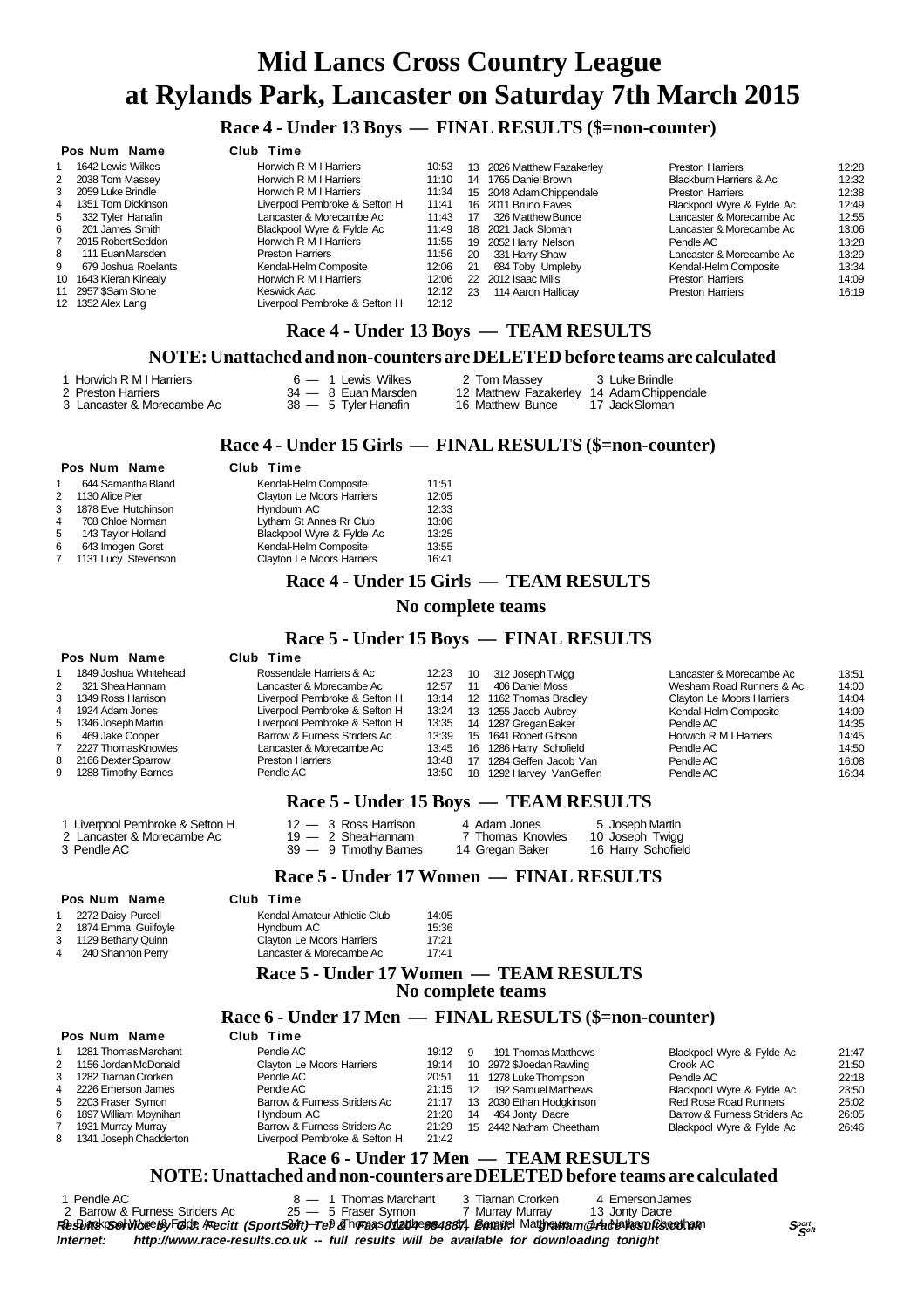# **Mid Lancs Cross Country League at Rylands Park, Lancaster on Saturday 7th March 2015**

# **Race 4 - Under 13 Boys — FINAL RESULTS (\$=non-counter)**

### **Pos Num Name Club Time**

|   | гоэ нин нине           | <b>UNU IND</b>                |       |     |                            |                           |       |
|---|------------------------|-------------------------------|-------|-----|----------------------------|---------------------------|-------|
|   | 1642 Lewis Wilkes      | Horwich R M I Harriers        | 10:53 |     | 13 2026 Matthew Fazakerley | <b>Preston Harriers</b>   | 12:28 |
|   | 2 2038 Tom Massey      | Horwich R M I Harriers        | 11:10 | 14  | 1765 Daniel Brown          | Blackburn Harriers & Ac   | 12:32 |
|   | 3 2059 Luke Brindle    | Horwich R M I Harriers        | 11:34 |     | 15 2048 Adam Chippendale   | <b>Preston Harriers</b>   | 12:38 |
|   | 4 1351 Tom Dickinson   | Liverpool Pembroke & Sefton H | 11:41 |     | 16 2011 Bruno Eaves        | Blackpool Wyre & Fylde Ac | 12:49 |
| 5 | 332 Tyler Hanafin      | Lancaster & Morecambe Ac      | 11:43 | 17  | 326 Matthew Bunce          | Lancaster & Morecambe Ac  | 12:55 |
| 6 | 201 James Smith        | Blackpool Wyre & Fylde Ac     | 11:49 |     | 18 2021 Jack Sloman        | Lancaster & Morecambe Ac  | 13:06 |
|   | 2015 Robert Seddon     | Horwich R M I Harriers        | 11:55 |     | 19 2052 Harry Nelson       | Pendle AC                 | 13:28 |
| 8 | 111 Euan Marsden       | <b>Preston Harriers</b>       | 11:56 | 20  | 331 Harry Shaw             | Lancaster & Morecambe Ac  | 13:29 |
| 9 | 679 Joshua Roelants    | Kendal-Helm Composite         | 12:06 | -21 | 684 Toby Umpleby           | Kendal-Helm Composite     | 13:34 |
|   | 10 1643 Kieran Kinealy | Horwich R M I Harriers        | 12:06 |     | 22 2012 Isaac Mills        | <b>Preston Harriers</b>   | 14:09 |
|   | 11 2957 \$Sam Stone    | Keswick Aac                   | 12:12 | 23  | 114 Aaron Halliday         | <b>Preston Harriers</b>   | 16:19 |
|   | 12 1352 Alex Lang      | Liverpool Pembroke & Sefton H | 12:12 |     |                            |                           |       |
|   |                        |                               |       |     |                            |                           |       |

# **Race 4 - Under 13 Boys — TEAM RESULTS**

### **NOTE: Unattached and non-counters are DELETED before teams are calculated**

3 Lancaster & Morecambe Ac

1 Horwich R M I Harriers 6 — 6 — 1 Lewis Wilkes 2 Tom Massey 3 Luke Brindle<br>2 Preston Harriers 2 34 — 8 Euan Marsden 12 Matthew Fazakerley 14 Adam Chippendale 24 — 8 Euan Marsden 12 Matthew Fazakerley 14 Adam Chippendale 38 — 5 Tyler Hanafin 16 Matthew Bunce 17 Jack Sloman

### **Race 4 - Under 15 Girls — FINAL RESULTS (\$=non-counter)**

### **Pos Num Name Club Time**

| 1. | 644 Samantha Bland  | Kendal-Helm Composite            | 11:51 |
|----|---------------------|----------------------------------|-------|
| 2  | 1130 Alice Pier     | Clayton Le Moors Harriers        | 12:05 |
| 3  | 1878 Eve Hutchinson | Hyndburn AC                      | 12:33 |
| 4  | 708 Chloe Norman    | Lytham St Annes Rr Club          | 13:06 |
| 5  | 143 Taylor Holland  | Blackpool Wyre & Fylde Ac        | 13:25 |
| 6  | 643 Imogen Gorst    | Kendal-Helm Composite            | 13:55 |
| 7  | 1131 Lucy Stevenson | <b>Clayton Le Moors Harriers</b> | 16:41 |
|    |                     |                                  |       |

### **Race 4 - Under 15 Girls — TEAM RESULTS**

### **No complete teams**

# **Race 5 - Under 15 Boys — FINAL RESULTS**<br>Club Time

#### **Pos Num Name**

**Pos Num Name** 1 1281 Thomas Marchant<br>2 1156 Jordan McDonald 2 1156 Jordan McDonald<br>3 1282 Tiarnan Crorken 1282 Tiarnan Crorken 4 2226 Emerson James<br>5 2203 Eraser Symon 5 2203 Fraser Symon<br>6 1897 William Movnih 1897 William Moynihan 7 1931 Murray Murray<br>8 1341 Joseph Chadd 1341 Joseph Chadderton

|                | 1849 Joshua Whitehead | Rossendale Harriers & Ac      | 12:23 | 10 | 312 Joseph Twigg       | Lancaster & Morecambe Ac  | 13:51 |
|----------------|-----------------------|-------------------------------|-------|----|------------------------|---------------------------|-------|
| $\overline{2}$ | 321 Shea Hannam       | Lancaster & Morecambe Ac      | 12:57 | 11 | 406 Daniel Moss        | Wesham Road Runners & Ac  | 14:00 |
|                | 3 1349 Ross Harrison  | Liverpool Pembroke & Sefton H | 13:14 |    | 12 1162 Thomas Bradley | Clayton Le Moors Harriers | 14:04 |
|                | 4 1924 Adam Jones     | Liverpool Pembroke & Sefton H | 13:24 | 13 | 1255 Jacob Aubrey      | Kendal-Helm Composite     | 14:09 |
|                | 5 1346 Joseph Martin  | Liverpool Pembroke & Sefton H | 13:35 | 14 | 1287 Gregan Baker      | Pendle AC                 | 14:35 |
| 6              | 469 Jake Cooper       | Barrow & Furness Striders Ac  | 13:39 | 15 | 1641 Robert Gibson     | Horwich R M I Harriers    | 14:45 |
|                | 2227 Thomas Knowles   | Lancaster & Morecambe Ac      | 13:45 | 16 | 1286 Harry Schofield   | Pendle AC                 | 14:50 |
|                | 8 2166 Dexter Sparrow | <b>Preston Harriers</b>       | 13:48 | 17 | 1284 Geffen Jacob Van  | Pendle AC                 | 16:08 |
|                | 9 1288 Timothy Barnes | Pendle AC                     | 13:50 | 18 | 1292 Harvey VanGeffen  | Pendle AC                 | 16:34 |
|                |                       |                               |       |    |                        |                           |       |

### **Race 5 - Under 15 Boys — TEAM RESULTS**

| 1 Liverpool Pembroke & Sefton H | $12 - 3$ Ross Harrison | 4 Adam Jones     | 5 Joseph Martin    |
|---------------------------------|------------------------|------------------|--------------------|
| 2 Lancaster & Morecambe Ac      | $19 - 2$ Shea Hannam   | 7 Thomas Knowles | 10 Joseph Twigg    |
| 3 Pendle AC                     | 39 — 9 Timothy Barnes  | 14 Gregan Baker  | 16 Harry Schofield |

### **Race 5 - Under 17 Women — FINAL RESULTS**

### **Pos Num Name Club Time**

| 1 2272 Daisy Purcell  | Kendal Amateur Athletic Club | 14:05 |
|-----------------------|------------------------------|-------|
| 2 1874 Emma Guilfoyle | Hyndburn AC                  | 15:36 |
| 3 1129 Bethany Quinn  | Clayton Le Moors Harriers    | 17:21 |
| 4 240 Shannon Perry   | Lancaster & Morecambe Ac     | 17:41 |

### **Race 5 - Under 17 Women — TEAM RESULTS No complete teams**

# **Race 6 - Under 17 Men — FINAL RESULTS (\$=non-counter)**

| Pendle AC                      | 19:12 9 |                 | 191 Thomas Matthews      | Blackpool Wyre & Fylde Ac    | 21:47 |
|--------------------------------|---------|-----------------|--------------------------|------------------------------|-------|
| Clayton Le Moors Harriers      | 19:14   |                 | 10 2972 \$Joedan Rawling | Crook AC                     | 21:50 |
| Pendle AC                      | 20:51   |                 | 11 1278 Luke Thompson    | Pendle AC                    | 22:18 |
| Pendle AC                      | 21:15   | 12 <sup>°</sup> | 192 Samuel Matthews      | Blackpool Wyre & Fylde Ac    | 23:50 |
| Barrow & Furness Striders Ac   | 21:17   |                 | 13 2030 Ethan Hodgkinson | Red Rose Road Runners        | 25:02 |
| Hyndburn AC                    | 21:20   | 14              | 464 Jonty Dacre          | Barrow & Furness Striders Ac | 26:05 |
| Barrow & Furness Striders Ac   | 21:29   |                 | 15 2442 Natham Cheetham  | Blackpool Wyre & Fylde Ac    | 26:46 |
| I ivernool Pembroke & Sefton H | 21.42   |                 |                          |                              |       |

#### **Race 6 - Under 17 Men — TEAM RESULTS NOTE: Unattached and non-counters are DELETED before teams are calculated**

| Pendle AC                      | 8 - 1 Thomas Marchant | 3 Tiarnan Crorken<br>4 Emerson James                                                                                |               |
|--------------------------------|-----------------------|---------------------------------------------------------------------------------------------------------------------|---------------|
| 2 Barrow & Furness Striders Ac | 25 — 5 Fraser Symon   | 7 Murray Murray<br>13 Jonty Dacre                                                                                   |               |
|                                |                       | Reselinsk Solvikje By Føde / Fecitt (SportSoft) Tel & hurans dviaddes s4887) Ennanel Matheumam @ habburastufbactuan | Sport<br>Soft |
|                                |                       |                                                                                                                     |               |

**Internet: http://www.race-results.co.uk -- full results will be available for downloading tonight**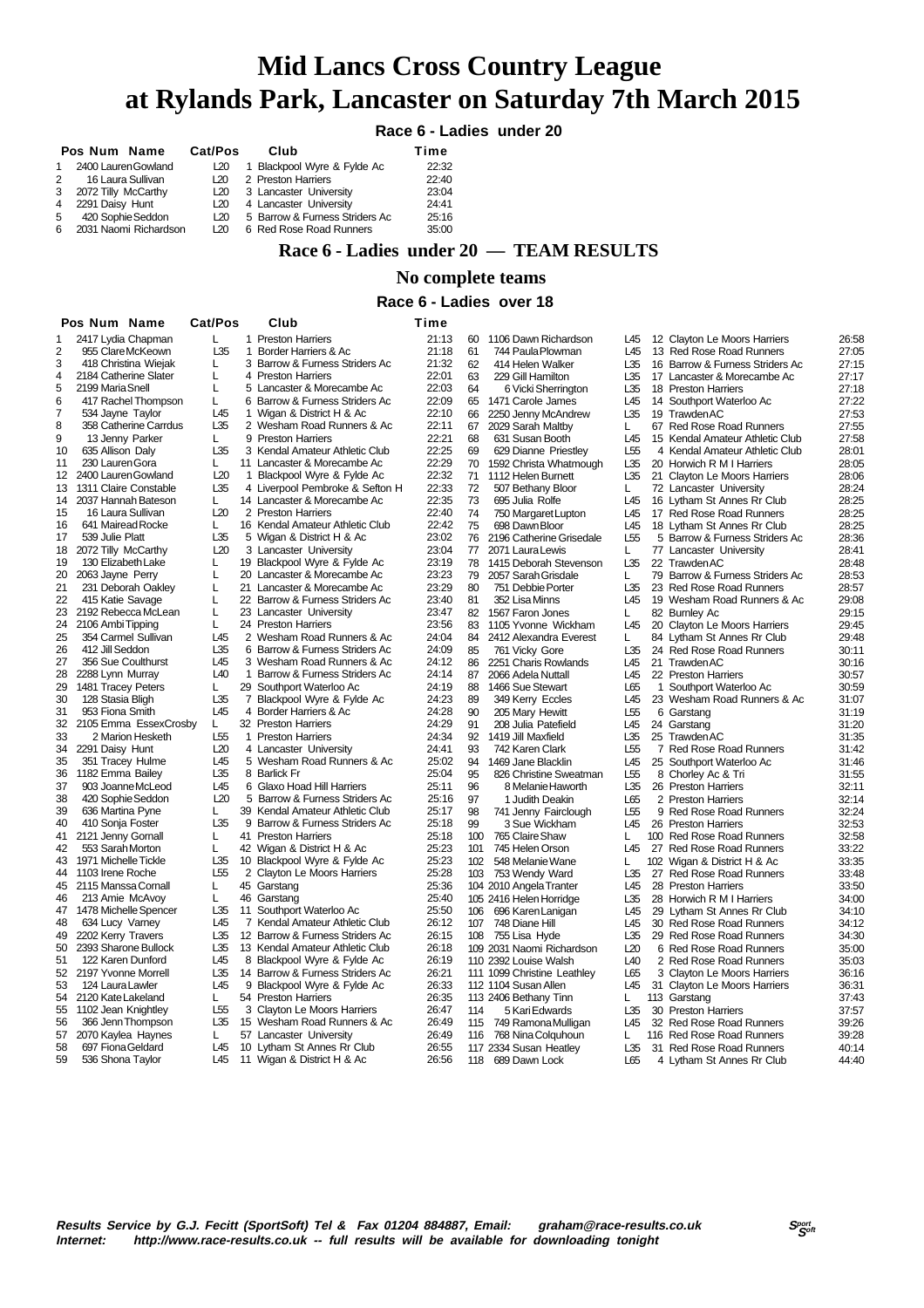# **Mid Lancs Cross Country League at Rylands Park, Lancaster on Saturday 7th March 2015**

## **Race 6 - Ladies under 20**

|   | Pos Num Name            | Cat/Pos | Club                           | Time  |
|---|-------------------------|---------|--------------------------------|-------|
| 1 | 2400 Lauren Gowland     | L20     | 1 Blackpool Wyre & Fylde Ac    | 22:32 |
|   | 2 16 Laura Sullivan     | L20     | 2 Preston Harriers             | 22:40 |
|   | 3 2072 Tilly McCarthy   | L20     | 3 Lancaster University         | 23:04 |
|   | 4 2291 Daisy Hunt       | L20     | 4 Lancaster University         | 24:41 |
| 5 | 420 Sophie Seddon       | L20     | 5 Barrow & Furness Striders Ac | 25:16 |
|   | 6 2031 Naomi Richardson | L20     | 6 Red Rose Road Runners        | 35:00 |

# **Race 6 - Ladies under 20 — TEAM RESULTS**

### **No complete teams**

### **Race 6 - Ladies over 18**

| L<br>2417 Lydia Chapman<br>1 Preston Harriers<br>21:13<br>1106 Dawn Richardson<br>26:58<br>60<br>L45<br>12 Clayton Le Moors Harriers<br>955 ClareMcKeown<br>L35<br>2<br>$\mathbf{1}$<br>Border Harriers & Ac<br>21:18<br>61<br>L45<br>13 Red Rose Road Runners<br>27:05<br>744 Paula Plowman<br>418 Christina Wiejak<br>3 Barrow & Furness Striders Ac<br>21:32<br>62<br>16 Barrow & Furness Striders Ac<br>L<br>414 Helen Walker<br>L35<br>27:15<br>4<br>2184 Catherine Slater<br>Г<br>4 Preston Harriers<br>22:01<br>63<br>229 Gill Hamilton<br>L35<br>17 Lancaster & Morecambe Ac<br>27:17<br>22:03<br>2199 Maria Snell<br>L<br>5 Lancaster & Morecambe Ac<br>64<br>6 Vicki Sherrington<br>L35<br>18 Preston Harriers<br>27:18<br>6 Barrow & Furness Striders Ac<br>22:09<br>L45<br>417 Rachel Thompson<br>L.<br>65<br>14 Southport Waterloo Ac<br>27:22<br>1471 Carole James<br>L45<br>1 Wigan & District H & Ac<br>22:10<br>66<br>L35<br>19 Trawden AC<br>27:53<br>7<br>534 Jayne Taylor<br>2250 Jenny McAndrew<br>8<br>358 Catherine Carrdus<br>L35<br>2 Wesham Road Runners & Ac<br>22:11<br>67<br>2029 Sarah Maltby<br>27:55<br>L.<br>67 Red Rose Road Runners<br>9<br>9 Preston Harriers<br>22:21<br>13 Jenny Parker<br>L<br>68<br>631 Susan Booth<br>L45<br>15 Kendal Amateur Athletic Club<br>27:58<br>L35<br>3 Kendal Amateur Athletic Club<br>22:25<br>L <sub>55</sub><br>28:01<br>10<br>635 Allison Daly<br>69<br>629 Dianne Priestley<br>4 Kendal Amateur Athletic Club<br>230 Lauren Gora<br>22:29<br>70<br>11<br>L.<br>11 Lancaster & Morecambe Ac<br>1592 Christa Whatmough<br>L35<br>20 Horwich R M I Harriers<br>28:05<br>L20<br>22:32<br>2400 Lauren Gowland<br>12<br>$\mathbf{1}$<br>Blackpool Wyre & Fylde Ac<br>71<br>1112 Helen Burnett<br>L35<br>21 Clayton Le Moors Harriers<br>28:06<br>L35<br>4 Liverpool Pembroke & Sefton H<br>22:33<br>72<br>L.<br>13<br>1311 Claire Constable<br>507 Bethany Bloor<br>72 Lancaster University<br>28:24<br>22:35<br>14<br>2037 Hannah Bateson<br>14 Lancaster & Morecambe Ac<br>73<br>L45<br>28:25<br>L.<br>695 Julia Rolfe<br>16 Lytham St Annes Rr Club<br>L20<br>2 Preston Harriers<br>22:40<br>74<br>15<br>16 Laura Sullivan<br>L45<br>17 Red Rose Road Runners<br>28:25<br>750 Margaret Lupton<br>641 Mairead Rocke<br>16 Kendal Amateur Athletic Club<br>22:42<br>75<br>28:25<br>16<br>L<br>698 Dawn Bloor<br>L45<br>18 Lytham St Annes Rr Club<br>L35<br>17<br>539 Julie Platt<br>5 Wigan & District H & Ac<br>23:02<br>76<br>L <sub>55</sub><br>2196 Catherine Grisedale<br>5 Barrow & Furness Striders Ac<br>28:36<br>L20<br>23:04<br>18<br>2072 Tilly McCarthy<br>3 Lancaster University<br>77<br>28:41<br>2071 Laura Lewis<br>L.<br>77 Lancaster University<br>19<br>130 Elizabeth Lake<br>19 Blackpool Wyre & Fylde Ac<br>23:19<br>78<br>L35<br>22 Trawden AC<br>L<br>1415 Deborah Stevenson<br>28:48<br>20 Lancaster & Morecambe Ac<br>23:23<br>20<br>2063 Jayne Perry<br>L<br>79<br>2057 Sarah Grisdale<br>79 Barrow & Furness Striders Ac<br>28:53<br>L<br>21<br>231 Deborah Oakley<br>21 Lancaster & Morecambe Ac<br>23:29<br>80<br>L35<br>23 Red Rose Road Runners<br>L<br>751 Debbie Porter<br>28:57<br>22<br>415 Katie Savage<br>22 Barrow & Furness Striders Ac<br>23:40<br>81<br>L45<br>L<br>352 Lisa Minns<br>19 Wesham Road Runners & Ac<br>29:08<br>23<br>2192 Rebecca McLean<br>L<br>23 Lancaster University<br>23:47<br>82<br>1567 Faron Jones<br>82 Burnley Ac<br>29:15<br>L.<br>24<br>2106 Ambi Tipping<br>24 Preston Harriers<br>23:56<br>L<br>83<br>1105 Yvonne Wickham<br>L45<br>20 Clayton Le Moors Harriers<br>29:45<br>25<br>354 Carmel Sullivan<br>2 Wesham Road Runners & Ac<br>24:04<br>L45<br>84<br>2412 Alexandra Everest<br>L.<br>84 Lytham St Annes Rr Club<br>29:48<br>L35<br>26<br>412 Jill Seddon<br>6 Barrow & Furness Striders Ac<br>24:09<br>85<br>L35<br>761 Vicky Gore<br>24 Red Rose Road Runners<br>30:11<br>27<br>356 Sue Coulthurst<br>L45<br>3 Wesham Road Runners & Ac<br>24:12<br>21 Trawden AC<br>86<br>2251 Charis Rowlands<br>L45<br>30:16<br>28<br>L <sub>40</sub><br>1 Barrow & Furness Striders Ac<br>24:14<br>87<br>2288 Lynn Murray<br>2066 Adela Nuttall<br>L45<br>22 Preston Harriers<br>30:57<br>29<br>1481 Tracey Peters<br>29 Southport Waterloo Ac<br>L<br>24:19<br>88<br>30:59<br>1466 Sue Stewart<br>L65<br>1 Southport Waterloo Ac<br>L35<br>30<br>128 Stasia Bligh<br>7 Blackpool Wyre & Fylde Ac<br>24:23<br>89<br>L45<br>349 Kerry Eccles<br>23 Wesham Road Runners & Ac<br>31:07<br>31<br>953 Fiona Smith<br>L45<br>4 Border Harriers & Ac<br>24:28<br>90<br>31:19<br>205 Mary Hewitt<br>L55<br>6 Garstang<br>32<br>2105 Emma EssexCrosby<br>L.<br>32 Preston Harriers<br>24:29<br>91<br>208 Julia Patefield<br>L45<br>24 Garstang<br>31:20<br>33<br>2 Marion Hesketh<br>L <sub>55</sub><br>1 Preston Harriers<br>24:34<br>92<br>1419 Jill Maxfield<br>L35<br>25 Trawden AC<br>31:35<br>34<br>L20<br>4 Lancaster University<br>24:41<br>93<br>L <sub>55</sub><br>2291 Daisy Hunt<br>742 Karen Clark<br>7 Red Rose Road Runners<br>31:42<br>35<br>351 Tracey Hulme<br>L45<br>5 Wesham Road Runners & Ac<br>25:02<br>L45<br>31:46<br>94<br>1469 Jane Blacklin<br>25 Southport Waterloo Ac<br>L35<br>25:04<br>36<br>1182 Emma Bailey<br>8 Barlick Fr<br>95<br>826 Christine Sweatman<br>L <sub>55</sub><br>8 Chorley Ac & Tri<br>31:55<br>L <sub>45</sub><br>6 Glaxo Hoad Hill Harriers<br>37<br>903 Joanne McLeod<br>25:11<br>96<br>L35<br>26 Preston Harriers<br>8 Melanie Haworth<br>32:11<br>38<br>420 Sophie Seddon<br>L20<br>5 Barrow & Furness Striders Ac<br>25:16<br>L65<br>97<br>1 Judith Deakin<br>2 Preston Harriers<br>32:14<br>39<br>636 Martina Pyne<br>L<br>39 Kendal Amateur Athletic Club<br>25:17<br>98<br>L <sub>55</sub><br>741 Jenny Fairclough<br>9 Red Rose Road Runners<br>32:24<br>40<br>L35<br>9 Barrow & Furness Striders Ac<br>25:18<br>410 Sonja Foster<br>L45<br>99<br>3 Sue Wickham<br>26 Preston Harriers<br>32:53<br>41<br>2121 Jenny Gornall<br>41 Preston Harriers<br>25:18<br>L<br>100<br>765 Claire Shaw<br>L.<br>32:58<br>100 Red Rose Road Runners<br>553 Sarah Morton<br>25:23<br>42<br>L<br>42 Wigan & District H & Ac<br>101<br>745 Helen Orson<br>L45<br>33:22<br>27 Red Rose Road Runners<br>L35<br>25:23<br>43<br>1971 Michelle Tickle<br>10 Blackpool Wyre & Fylde Ac<br>102<br>548 Melanie Wane<br>L<br>102 Wigan & District H & Ac<br>33:35<br>1103 Irene Roche<br>L55<br>2 Clayton Le Moors Harriers<br>25:28<br>44<br>103<br>753 Wendy Ward<br>L35<br>27 Red Rose Road Runners<br>33:48<br>45 Garstang<br>25:36<br>104 2010 Angela Tranter<br>L45<br>45<br>2115 Manssa Cornall<br>L<br>28 Preston Harriers<br>33:50<br>213 Amie McAvoy<br>46 Garstang<br>25:40<br>105 2416 Helen Horridge<br>L35<br>28 Horwich R M I Harriers<br>46<br>L<br>34:00<br>L35<br>11 Southport Waterloo Ac<br>25:50<br>47<br>1478 Michelle Spencer<br>106 696 Karen Lanigan<br>L45<br>29 Lytham St Annes Rr Club<br>34:10<br>L <sub>45</sub><br>7 Kendal Amateur Athletic Club<br>48<br>634 Lucy Varney<br>26:12<br>107<br>748 Diane Hill<br>L45<br>30 Red Rose Road Runners<br>34:12<br>49<br>2202 Kerry Travers<br>L35<br>12 Barrow & Furness Striders Ac<br>26:15<br>L35<br>108 755 Lisa Hyde<br>29 Red Rose Road Runners<br>34:30<br>50<br>2393 Sharone Bullock<br>L35<br>13 Kendal Amateur Athletic Club<br>26:18<br>109 2031 Naomi Richardson<br>L20<br>6 Red Rose Road Runners<br>35:00<br>51<br>122 Karen Dunford<br>L45<br>8 Blackpool Wyre & Fylde Ac<br>26:19<br>110 2392 Louise Walsh<br>L <sub>40</sub><br>2 Red Rose Road Runners<br>35:03<br>52<br>L35<br>2197 Yvonne Morrell<br>14 Barrow & Furness Striders Ac<br>26:21<br>111 1099 Christine Leathley<br>L65<br>3 Clayton Le Moors Harriers<br>36:16<br>53<br>124 Laura Lawler<br>L45<br>9<br>Blackpool Wyre & Fylde Ac<br>26:33<br>112 1104 Susan Allen<br>L45<br>31 Clayton Le Moors Harriers<br>36:31<br>54<br>2120 Kate Lakeland<br>54 Preston Harriers<br>26:35<br>113 2406 Bethany Tinn<br>113 Garstang<br>37:43<br>L<br>L<br>L <sub>55</sub><br>3 Clayton Le Moors Harriers<br>55<br>1102 Jean Knightley<br>26:47<br>114<br>5 Kari Edwards<br>L35<br>30 Preston Harriers<br>37:57<br>L35<br>56<br>15 Wesham Road Runners & Ac<br>26:49<br>L <sub>45</sub><br>366 Jenn Thompson<br>115<br>749 Ramona Mulligan<br>32 Red Rose Road Runners<br>39:26<br>39:28<br>57<br>2070 Kaylea Haynes<br>57 Lancaster University<br>26:49<br>116 Red Rose Road Runners<br>L<br>116<br>768 Nina Colquhoun<br>L<br>58<br>697 Fiona Geldard<br>L45<br>10 Lytham St Annes Rr Club<br>26:55<br>117 2334 Susan Heatley<br>L35<br>31 Red Rose Road Runners<br>40:14<br>59<br>L45<br>11 Wigan & District H & Ac<br>118 689 Dawn Lock<br>4 Lytham St Annes Rr Club |   | Pos Num Name     | Cat/Pos | Club | Time  |  |     |  |       |
|--------------------------------------------------------------------------------------------------------------------------------------------------------------------------------------------------------------------------------------------------------------------------------------------------------------------------------------------------------------------------------------------------------------------------------------------------------------------------------------------------------------------------------------------------------------------------------------------------------------------------------------------------------------------------------------------------------------------------------------------------------------------------------------------------------------------------------------------------------------------------------------------------------------------------------------------------------------------------------------------------------------------------------------------------------------------------------------------------------------------------------------------------------------------------------------------------------------------------------------------------------------------------------------------------------------------------------------------------------------------------------------------------------------------------------------------------------------------------------------------------------------------------------------------------------------------------------------------------------------------------------------------------------------------------------------------------------------------------------------------------------------------------------------------------------------------------------------------------------------------------------------------------------------------------------------------------------------------------------------------------------------------------------------------------------------------------------------------------------------------------------------------------------------------------------------------------------------------------------------------------------------------------------------------------------------------------------------------------------------------------------------------------------------------------------------------------------------------------------------------------------------------------------------------------------------------------------------------------------------------------------------------------------------------------------------------------------------------------------------------------------------------------------------------------------------------------------------------------------------------------------------------------------------------------------------------------------------------------------------------------------------------------------------------------------------------------------------------------------------------------------------------------------------------------------------------------------------------------------------------------------------------------------------------------------------------------------------------------------------------------------------------------------------------------------------------------------------------------------------------------------------------------------------------------------------------------------------------------------------------------------------------------------------------------------------------------------------------------------------------------------------------------------------------------------------------------------------------------------------------------------------------------------------------------------------------------------------------------------------------------------------------------------------------------------------------------------------------------------------------------------------------------------------------------------------------------------------------------------------------------------------------------------------------------------------------------------------------------------------------------------------------------------------------------------------------------------------------------------------------------------------------------------------------------------------------------------------------------------------------------------------------------------------------------------------------------------------------------------------------------------------------------------------------------------------------------------------------------------------------------------------------------------------------------------------------------------------------------------------------------------------------------------------------------------------------------------------------------------------------------------------------------------------------------------------------------------------------------------------------------------------------------------------------------------------------------------------------------------------------------------------------------------------------------------------------------------------------------------------------------------------------------------------------------------------------------------------------------------------------------------------------------------------------------------------------------------------------------------------------------------------------------------------------------------------------------------------------------------------------------------------------------------------------------------------------------------------------------------------------------------------------------------------------------------------------------------------------------------------------------------------------------------------------------------------------------------------------------------------------------------------------------------------------------------------------------------------------------------------------------------------------------------------------------------------------------------------------------------------------------------------------------------------------------------------------------------------------------------------------------------------------------------------------------------------------------------------------------------------------------------------------------------------------------------------------------------------------------------------------------------------------------------------------------------------------------------------------------------------------------------------------------------------------------------------------------------------------------------------------------------------------------------------------------------------------------------------------------------------------------------------------------------------------------------------------------------------------------------------------------------------------------------------------------------------------------------------------------------------------------------------------------------------------------------------------------------------------------------------------------------------------------------------------------------------------------------------------------------------------------------------------------------------------------------------------------------------------------------------------------------------------------------------------------------------------------------------------------------------------------------------------------------------------------------------------------------------------------------------------------------------------------------------------------------------------------------------------------------------------------------------------------------------------------------------------------------------------------------------------------------------------------------------------------------------------------------------------------------------------------------------------------------------------------------------------------------------------------------------------------------------------------------------------------------------------------------------------------------------------------------------------------------------------|---|------------------|---------|------|-------|--|-----|--|-------|
|                                                                                                                                                                                                                                                                                                                                                                                                                                                                                                                                                                                                                                                                                                                                                                                                                                                                                                                                                                                                                                                                                                                                                                                                                                                                                                                                                                                                                                                                                                                                                                                                                                                                                                                                                                                                                                                                                                                                                                                                                                                                                                                                                                                                                                                                                                                                                                                                                                                                                                                                                                                                                                                                                                                                                                                                                                                                                                                                                                                                                                                                                                                                                                                                                                                                                                                                                                                                                                                                                                                                                                                                                                                                                                                                                                                                                                                                                                                                                                                                                                                                                                                                                                                                                                                                                                                                                                                                                                                                                                                                                                                                                                                                                                                                                                                                                                                                                                                                                                                                                                                                                                                                                                                                                                                                                                                                                                                                                                                                                                                                                                                                                                                                                                                                                                                                                                                                                                                                                                                                                                                                                                                                                                                                                                                                                                                                                                                                                                                                                                                                                                                                                                                                                                                                                                                                                                                                                                                                                                                                                                                                                                                                                                                                                                                                                                                                                                                                                                                                                                                                                                                                                                                                                                                                                                                                                                                                                                                                                                                                                                                                                                                                                                                                                                                                                                                                                                                                                                                                                                                                                                                                                                                                                                                                                                                            |   |                  |         |      |       |  |     |  |       |
|                                                                                                                                                                                                                                                                                                                                                                                                                                                                                                                                                                                                                                                                                                                                                                                                                                                                                                                                                                                                                                                                                                                                                                                                                                                                                                                                                                                                                                                                                                                                                                                                                                                                                                                                                                                                                                                                                                                                                                                                                                                                                                                                                                                                                                                                                                                                                                                                                                                                                                                                                                                                                                                                                                                                                                                                                                                                                                                                                                                                                                                                                                                                                                                                                                                                                                                                                                                                                                                                                                                                                                                                                                                                                                                                                                                                                                                                                                                                                                                                                                                                                                                                                                                                                                                                                                                                                                                                                                                                                                                                                                                                                                                                                                                                                                                                                                                                                                                                                                                                                                                                                                                                                                                                                                                                                                                                                                                                                                                                                                                                                                                                                                                                                                                                                                                                                                                                                                                                                                                                                                                                                                                                                                                                                                                                                                                                                                                                                                                                                                                                                                                                                                                                                                                                                                                                                                                                                                                                                                                                                                                                                                                                                                                                                                                                                                                                                                                                                                                                                                                                                                                                                                                                                                                                                                                                                                                                                                                                                                                                                                                                                                                                                                                                                                                                                                                                                                                                                                                                                                                                                                                                                                                                                                                                                                                            |   |                  |         |      |       |  |     |  |       |
|                                                                                                                                                                                                                                                                                                                                                                                                                                                                                                                                                                                                                                                                                                                                                                                                                                                                                                                                                                                                                                                                                                                                                                                                                                                                                                                                                                                                                                                                                                                                                                                                                                                                                                                                                                                                                                                                                                                                                                                                                                                                                                                                                                                                                                                                                                                                                                                                                                                                                                                                                                                                                                                                                                                                                                                                                                                                                                                                                                                                                                                                                                                                                                                                                                                                                                                                                                                                                                                                                                                                                                                                                                                                                                                                                                                                                                                                                                                                                                                                                                                                                                                                                                                                                                                                                                                                                                                                                                                                                                                                                                                                                                                                                                                                                                                                                                                                                                                                                                                                                                                                                                                                                                                                                                                                                                                                                                                                                                                                                                                                                                                                                                                                                                                                                                                                                                                                                                                                                                                                                                                                                                                                                                                                                                                                                                                                                                                                                                                                                                                                                                                                                                                                                                                                                                                                                                                                                                                                                                                                                                                                                                                                                                                                                                                                                                                                                                                                                                                                                                                                                                                                                                                                                                                                                                                                                                                                                                                                                                                                                                                                                                                                                                                                                                                                                                                                                                                                                                                                                                                                                                                                                                                                                                                                                                                            | 3 |                  |         |      |       |  |     |  |       |
|                                                                                                                                                                                                                                                                                                                                                                                                                                                                                                                                                                                                                                                                                                                                                                                                                                                                                                                                                                                                                                                                                                                                                                                                                                                                                                                                                                                                                                                                                                                                                                                                                                                                                                                                                                                                                                                                                                                                                                                                                                                                                                                                                                                                                                                                                                                                                                                                                                                                                                                                                                                                                                                                                                                                                                                                                                                                                                                                                                                                                                                                                                                                                                                                                                                                                                                                                                                                                                                                                                                                                                                                                                                                                                                                                                                                                                                                                                                                                                                                                                                                                                                                                                                                                                                                                                                                                                                                                                                                                                                                                                                                                                                                                                                                                                                                                                                                                                                                                                                                                                                                                                                                                                                                                                                                                                                                                                                                                                                                                                                                                                                                                                                                                                                                                                                                                                                                                                                                                                                                                                                                                                                                                                                                                                                                                                                                                                                                                                                                                                                                                                                                                                                                                                                                                                                                                                                                                                                                                                                                                                                                                                                                                                                                                                                                                                                                                                                                                                                                                                                                                                                                                                                                                                                                                                                                                                                                                                                                                                                                                                                                                                                                                                                                                                                                                                                                                                                                                                                                                                                                                                                                                                                                                                                                                                                            |   |                  |         |      |       |  |     |  |       |
|                                                                                                                                                                                                                                                                                                                                                                                                                                                                                                                                                                                                                                                                                                                                                                                                                                                                                                                                                                                                                                                                                                                                                                                                                                                                                                                                                                                                                                                                                                                                                                                                                                                                                                                                                                                                                                                                                                                                                                                                                                                                                                                                                                                                                                                                                                                                                                                                                                                                                                                                                                                                                                                                                                                                                                                                                                                                                                                                                                                                                                                                                                                                                                                                                                                                                                                                                                                                                                                                                                                                                                                                                                                                                                                                                                                                                                                                                                                                                                                                                                                                                                                                                                                                                                                                                                                                                                                                                                                                                                                                                                                                                                                                                                                                                                                                                                                                                                                                                                                                                                                                                                                                                                                                                                                                                                                                                                                                                                                                                                                                                                                                                                                                                                                                                                                                                                                                                                                                                                                                                                                                                                                                                                                                                                                                                                                                                                                                                                                                                                                                                                                                                                                                                                                                                                                                                                                                                                                                                                                                                                                                                                                                                                                                                                                                                                                                                                                                                                                                                                                                                                                                                                                                                                                                                                                                                                                                                                                                                                                                                                                                                                                                                                                                                                                                                                                                                                                                                                                                                                                                                                                                                                                                                                                                                                                            | 5 |                  |         |      |       |  |     |  |       |
|                                                                                                                                                                                                                                                                                                                                                                                                                                                                                                                                                                                                                                                                                                                                                                                                                                                                                                                                                                                                                                                                                                                                                                                                                                                                                                                                                                                                                                                                                                                                                                                                                                                                                                                                                                                                                                                                                                                                                                                                                                                                                                                                                                                                                                                                                                                                                                                                                                                                                                                                                                                                                                                                                                                                                                                                                                                                                                                                                                                                                                                                                                                                                                                                                                                                                                                                                                                                                                                                                                                                                                                                                                                                                                                                                                                                                                                                                                                                                                                                                                                                                                                                                                                                                                                                                                                                                                                                                                                                                                                                                                                                                                                                                                                                                                                                                                                                                                                                                                                                                                                                                                                                                                                                                                                                                                                                                                                                                                                                                                                                                                                                                                                                                                                                                                                                                                                                                                                                                                                                                                                                                                                                                                                                                                                                                                                                                                                                                                                                                                                                                                                                                                                                                                                                                                                                                                                                                                                                                                                                                                                                                                                                                                                                                                                                                                                                                                                                                                                                                                                                                                                                                                                                                                                                                                                                                                                                                                                                                                                                                                                                                                                                                                                                                                                                                                                                                                                                                                                                                                                                                                                                                                                                                                                                                                                            | 6 |                  |         |      |       |  |     |  |       |
|                                                                                                                                                                                                                                                                                                                                                                                                                                                                                                                                                                                                                                                                                                                                                                                                                                                                                                                                                                                                                                                                                                                                                                                                                                                                                                                                                                                                                                                                                                                                                                                                                                                                                                                                                                                                                                                                                                                                                                                                                                                                                                                                                                                                                                                                                                                                                                                                                                                                                                                                                                                                                                                                                                                                                                                                                                                                                                                                                                                                                                                                                                                                                                                                                                                                                                                                                                                                                                                                                                                                                                                                                                                                                                                                                                                                                                                                                                                                                                                                                                                                                                                                                                                                                                                                                                                                                                                                                                                                                                                                                                                                                                                                                                                                                                                                                                                                                                                                                                                                                                                                                                                                                                                                                                                                                                                                                                                                                                                                                                                                                                                                                                                                                                                                                                                                                                                                                                                                                                                                                                                                                                                                                                                                                                                                                                                                                                                                                                                                                                                                                                                                                                                                                                                                                                                                                                                                                                                                                                                                                                                                                                                                                                                                                                                                                                                                                                                                                                                                                                                                                                                                                                                                                                                                                                                                                                                                                                                                                                                                                                                                                                                                                                                                                                                                                                                                                                                                                                                                                                                                                                                                                                                                                                                                                                                            |   |                  |         |      |       |  |     |  |       |
|                                                                                                                                                                                                                                                                                                                                                                                                                                                                                                                                                                                                                                                                                                                                                                                                                                                                                                                                                                                                                                                                                                                                                                                                                                                                                                                                                                                                                                                                                                                                                                                                                                                                                                                                                                                                                                                                                                                                                                                                                                                                                                                                                                                                                                                                                                                                                                                                                                                                                                                                                                                                                                                                                                                                                                                                                                                                                                                                                                                                                                                                                                                                                                                                                                                                                                                                                                                                                                                                                                                                                                                                                                                                                                                                                                                                                                                                                                                                                                                                                                                                                                                                                                                                                                                                                                                                                                                                                                                                                                                                                                                                                                                                                                                                                                                                                                                                                                                                                                                                                                                                                                                                                                                                                                                                                                                                                                                                                                                                                                                                                                                                                                                                                                                                                                                                                                                                                                                                                                                                                                                                                                                                                                                                                                                                                                                                                                                                                                                                                                                                                                                                                                                                                                                                                                                                                                                                                                                                                                                                                                                                                                                                                                                                                                                                                                                                                                                                                                                                                                                                                                                                                                                                                                                                                                                                                                                                                                                                                                                                                                                                                                                                                                                                                                                                                                                                                                                                                                                                                                                                                                                                                                                                                                                                                                                            |   |                  |         |      |       |  |     |  |       |
|                                                                                                                                                                                                                                                                                                                                                                                                                                                                                                                                                                                                                                                                                                                                                                                                                                                                                                                                                                                                                                                                                                                                                                                                                                                                                                                                                                                                                                                                                                                                                                                                                                                                                                                                                                                                                                                                                                                                                                                                                                                                                                                                                                                                                                                                                                                                                                                                                                                                                                                                                                                                                                                                                                                                                                                                                                                                                                                                                                                                                                                                                                                                                                                                                                                                                                                                                                                                                                                                                                                                                                                                                                                                                                                                                                                                                                                                                                                                                                                                                                                                                                                                                                                                                                                                                                                                                                                                                                                                                                                                                                                                                                                                                                                                                                                                                                                                                                                                                                                                                                                                                                                                                                                                                                                                                                                                                                                                                                                                                                                                                                                                                                                                                                                                                                                                                                                                                                                                                                                                                                                                                                                                                                                                                                                                                                                                                                                                                                                                                                                                                                                                                                                                                                                                                                                                                                                                                                                                                                                                                                                                                                                                                                                                                                                                                                                                                                                                                                                                                                                                                                                                                                                                                                                                                                                                                                                                                                                                                                                                                                                                                                                                                                                                                                                                                                                                                                                                                                                                                                                                                                                                                                                                                                                                                                                            |   |                  |         |      |       |  |     |  |       |
|                                                                                                                                                                                                                                                                                                                                                                                                                                                                                                                                                                                                                                                                                                                                                                                                                                                                                                                                                                                                                                                                                                                                                                                                                                                                                                                                                                                                                                                                                                                                                                                                                                                                                                                                                                                                                                                                                                                                                                                                                                                                                                                                                                                                                                                                                                                                                                                                                                                                                                                                                                                                                                                                                                                                                                                                                                                                                                                                                                                                                                                                                                                                                                                                                                                                                                                                                                                                                                                                                                                                                                                                                                                                                                                                                                                                                                                                                                                                                                                                                                                                                                                                                                                                                                                                                                                                                                                                                                                                                                                                                                                                                                                                                                                                                                                                                                                                                                                                                                                                                                                                                                                                                                                                                                                                                                                                                                                                                                                                                                                                                                                                                                                                                                                                                                                                                                                                                                                                                                                                                                                                                                                                                                                                                                                                                                                                                                                                                                                                                                                                                                                                                                                                                                                                                                                                                                                                                                                                                                                                                                                                                                                                                                                                                                                                                                                                                                                                                                                                                                                                                                                                                                                                                                                                                                                                                                                                                                                                                                                                                                                                                                                                                                                                                                                                                                                                                                                                                                                                                                                                                                                                                                                                                                                                                                                            |   |                  |         |      |       |  |     |  |       |
|                                                                                                                                                                                                                                                                                                                                                                                                                                                                                                                                                                                                                                                                                                                                                                                                                                                                                                                                                                                                                                                                                                                                                                                                                                                                                                                                                                                                                                                                                                                                                                                                                                                                                                                                                                                                                                                                                                                                                                                                                                                                                                                                                                                                                                                                                                                                                                                                                                                                                                                                                                                                                                                                                                                                                                                                                                                                                                                                                                                                                                                                                                                                                                                                                                                                                                                                                                                                                                                                                                                                                                                                                                                                                                                                                                                                                                                                                                                                                                                                                                                                                                                                                                                                                                                                                                                                                                                                                                                                                                                                                                                                                                                                                                                                                                                                                                                                                                                                                                                                                                                                                                                                                                                                                                                                                                                                                                                                                                                                                                                                                                                                                                                                                                                                                                                                                                                                                                                                                                                                                                                                                                                                                                                                                                                                                                                                                                                                                                                                                                                                                                                                                                                                                                                                                                                                                                                                                                                                                                                                                                                                                                                                                                                                                                                                                                                                                                                                                                                                                                                                                                                                                                                                                                                                                                                                                                                                                                                                                                                                                                                                                                                                                                                                                                                                                                                                                                                                                                                                                                                                                                                                                                                                                                                                                                                            |   |                  |         |      |       |  |     |  |       |
|                                                                                                                                                                                                                                                                                                                                                                                                                                                                                                                                                                                                                                                                                                                                                                                                                                                                                                                                                                                                                                                                                                                                                                                                                                                                                                                                                                                                                                                                                                                                                                                                                                                                                                                                                                                                                                                                                                                                                                                                                                                                                                                                                                                                                                                                                                                                                                                                                                                                                                                                                                                                                                                                                                                                                                                                                                                                                                                                                                                                                                                                                                                                                                                                                                                                                                                                                                                                                                                                                                                                                                                                                                                                                                                                                                                                                                                                                                                                                                                                                                                                                                                                                                                                                                                                                                                                                                                                                                                                                                                                                                                                                                                                                                                                                                                                                                                                                                                                                                                                                                                                                                                                                                                                                                                                                                                                                                                                                                                                                                                                                                                                                                                                                                                                                                                                                                                                                                                                                                                                                                                                                                                                                                                                                                                                                                                                                                                                                                                                                                                                                                                                                                                                                                                                                                                                                                                                                                                                                                                                                                                                                                                                                                                                                                                                                                                                                                                                                                                                                                                                                                                                                                                                                                                                                                                                                                                                                                                                                                                                                                                                                                                                                                                                                                                                                                                                                                                                                                                                                                                                                                                                                                                                                                                                                                                            |   |                  |         |      |       |  |     |  |       |
|                                                                                                                                                                                                                                                                                                                                                                                                                                                                                                                                                                                                                                                                                                                                                                                                                                                                                                                                                                                                                                                                                                                                                                                                                                                                                                                                                                                                                                                                                                                                                                                                                                                                                                                                                                                                                                                                                                                                                                                                                                                                                                                                                                                                                                                                                                                                                                                                                                                                                                                                                                                                                                                                                                                                                                                                                                                                                                                                                                                                                                                                                                                                                                                                                                                                                                                                                                                                                                                                                                                                                                                                                                                                                                                                                                                                                                                                                                                                                                                                                                                                                                                                                                                                                                                                                                                                                                                                                                                                                                                                                                                                                                                                                                                                                                                                                                                                                                                                                                                                                                                                                                                                                                                                                                                                                                                                                                                                                                                                                                                                                                                                                                                                                                                                                                                                                                                                                                                                                                                                                                                                                                                                                                                                                                                                                                                                                                                                                                                                                                                                                                                                                                                                                                                                                                                                                                                                                                                                                                                                                                                                                                                                                                                                                                                                                                                                                                                                                                                                                                                                                                                                                                                                                                                                                                                                                                                                                                                                                                                                                                                                                                                                                                                                                                                                                                                                                                                                                                                                                                                                                                                                                                                                                                                                                                                            |   |                  |         |      |       |  |     |  |       |
|                                                                                                                                                                                                                                                                                                                                                                                                                                                                                                                                                                                                                                                                                                                                                                                                                                                                                                                                                                                                                                                                                                                                                                                                                                                                                                                                                                                                                                                                                                                                                                                                                                                                                                                                                                                                                                                                                                                                                                                                                                                                                                                                                                                                                                                                                                                                                                                                                                                                                                                                                                                                                                                                                                                                                                                                                                                                                                                                                                                                                                                                                                                                                                                                                                                                                                                                                                                                                                                                                                                                                                                                                                                                                                                                                                                                                                                                                                                                                                                                                                                                                                                                                                                                                                                                                                                                                                                                                                                                                                                                                                                                                                                                                                                                                                                                                                                                                                                                                                                                                                                                                                                                                                                                                                                                                                                                                                                                                                                                                                                                                                                                                                                                                                                                                                                                                                                                                                                                                                                                                                                                                                                                                                                                                                                                                                                                                                                                                                                                                                                                                                                                                                                                                                                                                                                                                                                                                                                                                                                                                                                                                                                                                                                                                                                                                                                                                                                                                                                                                                                                                                                                                                                                                                                                                                                                                                                                                                                                                                                                                                                                                                                                                                                                                                                                                                                                                                                                                                                                                                                                                                                                                                                                                                                                                                                            |   |                  |         |      |       |  |     |  |       |
|                                                                                                                                                                                                                                                                                                                                                                                                                                                                                                                                                                                                                                                                                                                                                                                                                                                                                                                                                                                                                                                                                                                                                                                                                                                                                                                                                                                                                                                                                                                                                                                                                                                                                                                                                                                                                                                                                                                                                                                                                                                                                                                                                                                                                                                                                                                                                                                                                                                                                                                                                                                                                                                                                                                                                                                                                                                                                                                                                                                                                                                                                                                                                                                                                                                                                                                                                                                                                                                                                                                                                                                                                                                                                                                                                                                                                                                                                                                                                                                                                                                                                                                                                                                                                                                                                                                                                                                                                                                                                                                                                                                                                                                                                                                                                                                                                                                                                                                                                                                                                                                                                                                                                                                                                                                                                                                                                                                                                                                                                                                                                                                                                                                                                                                                                                                                                                                                                                                                                                                                                                                                                                                                                                                                                                                                                                                                                                                                                                                                                                                                                                                                                                                                                                                                                                                                                                                                                                                                                                                                                                                                                                                                                                                                                                                                                                                                                                                                                                                                                                                                                                                                                                                                                                                                                                                                                                                                                                                                                                                                                                                                                                                                                                                                                                                                                                                                                                                                                                                                                                                                                                                                                                                                                                                                                                                            |   |                  |         |      |       |  |     |  |       |
|                                                                                                                                                                                                                                                                                                                                                                                                                                                                                                                                                                                                                                                                                                                                                                                                                                                                                                                                                                                                                                                                                                                                                                                                                                                                                                                                                                                                                                                                                                                                                                                                                                                                                                                                                                                                                                                                                                                                                                                                                                                                                                                                                                                                                                                                                                                                                                                                                                                                                                                                                                                                                                                                                                                                                                                                                                                                                                                                                                                                                                                                                                                                                                                                                                                                                                                                                                                                                                                                                                                                                                                                                                                                                                                                                                                                                                                                                                                                                                                                                                                                                                                                                                                                                                                                                                                                                                                                                                                                                                                                                                                                                                                                                                                                                                                                                                                                                                                                                                                                                                                                                                                                                                                                                                                                                                                                                                                                                                                                                                                                                                                                                                                                                                                                                                                                                                                                                                                                                                                                                                                                                                                                                                                                                                                                                                                                                                                                                                                                                                                                                                                                                                                                                                                                                                                                                                                                                                                                                                                                                                                                                                                                                                                                                                                                                                                                                                                                                                                                                                                                                                                                                                                                                                                                                                                                                                                                                                                                                                                                                                                                                                                                                                                                                                                                                                                                                                                                                                                                                                                                                                                                                                                                                                                                                                                            |   |                  |         |      |       |  |     |  |       |
|                                                                                                                                                                                                                                                                                                                                                                                                                                                                                                                                                                                                                                                                                                                                                                                                                                                                                                                                                                                                                                                                                                                                                                                                                                                                                                                                                                                                                                                                                                                                                                                                                                                                                                                                                                                                                                                                                                                                                                                                                                                                                                                                                                                                                                                                                                                                                                                                                                                                                                                                                                                                                                                                                                                                                                                                                                                                                                                                                                                                                                                                                                                                                                                                                                                                                                                                                                                                                                                                                                                                                                                                                                                                                                                                                                                                                                                                                                                                                                                                                                                                                                                                                                                                                                                                                                                                                                                                                                                                                                                                                                                                                                                                                                                                                                                                                                                                                                                                                                                                                                                                                                                                                                                                                                                                                                                                                                                                                                                                                                                                                                                                                                                                                                                                                                                                                                                                                                                                                                                                                                                                                                                                                                                                                                                                                                                                                                                                                                                                                                                                                                                                                                                                                                                                                                                                                                                                                                                                                                                                                                                                                                                                                                                                                                                                                                                                                                                                                                                                                                                                                                                                                                                                                                                                                                                                                                                                                                                                                                                                                                                                                                                                                                                                                                                                                                                                                                                                                                                                                                                                                                                                                                                                                                                                                                                            |   |                  |         |      |       |  |     |  |       |
|                                                                                                                                                                                                                                                                                                                                                                                                                                                                                                                                                                                                                                                                                                                                                                                                                                                                                                                                                                                                                                                                                                                                                                                                                                                                                                                                                                                                                                                                                                                                                                                                                                                                                                                                                                                                                                                                                                                                                                                                                                                                                                                                                                                                                                                                                                                                                                                                                                                                                                                                                                                                                                                                                                                                                                                                                                                                                                                                                                                                                                                                                                                                                                                                                                                                                                                                                                                                                                                                                                                                                                                                                                                                                                                                                                                                                                                                                                                                                                                                                                                                                                                                                                                                                                                                                                                                                                                                                                                                                                                                                                                                                                                                                                                                                                                                                                                                                                                                                                                                                                                                                                                                                                                                                                                                                                                                                                                                                                                                                                                                                                                                                                                                                                                                                                                                                                                                                                                                                                                                                                                                                                                                                                                                                                                                                                                                                                                                                                                                                                                                                                                                                                                                                                                                                                                                                                                                                                                                                                                                                                                                                                                                                                                                                                                                                                                                                                                                                                                                                                                                                                                                                                                                                                                                                                                                                                                                                                                                                                                                                                                                                                                                                                                                                                                                                                                                                                                                                                                                                                                                                                                                                                                                                                                                                                                            |   |                  |         |      |       |  |     |  |       |
|                                                                                                                                                                                                                                                                                                                                                                                                                                                                                                                                                                                                                                                                                                                                                                                                                                                                                                                                                                                                                                                                                                                                                                                                                                                                                                                                                                                                                                                                                                                                                                                                                                                                                                                                                                                                                                                                                                                                                                                                                                                                                                                                                                                                                                                                                                                                                                                                                                                                                                                                                                                                                                                                                                                                                                                                                                                                                                                                                                                                                                                                                                                                                                                                                                                                                                                                                                                                                                                                                                                                                                                                                                                                                                                                                                                                                                                                                                                                                                                                                                                                                                                                                                                                                                                                                                                                                                                                                                                                                                                                                                                                                                                                                                                                                                                                                                                                                                                                                                                                                                                                                                                                                                                                                                                                                                                                                                                                                                                                                                                                                                                                                                                                                                                                                                                                                                                                                                                                                                                                                                                                                                                                                                                                                                                                                                                                                                                                                                                                                                                                                                                                                                                                                                                                                                                                                                                                                                                                                                                                                                                                                                                                                                                                                                                                                                                                                                                                                                                                                                                                                                                                                                                                                                                                                                                                                                                                                                                                                                                                                                                                                                                                                                                                                                                                                                                                                                                                                                                                                                                                                                                                                                                                                                                                                                                            |   |                  |         |      |       |  |     |  |       |
|                                                                                                                                                                                                                                                                                                                                                                                                                                                                                                                                                                                                                                                                                                                                                                                                                                                                                                                                                                                                                                                                                                                                                                                                                                                                                                                                                                                                                                                                                                                                                                                                                                                                                                                                                                                                                                                                                                                                                                                                                                                                                                                                                                                                                                                                                                                                                                                                                                                                                                                                                                                                                                                                                                                                                                                                                                                                                                                                                                                                                                                                                                                                                                                                                                                                                                                                                                                                                                                                                                                                                                                                                                                                                                                                                                                                                                                                                                                                                                                                                                                                                                                                                                                                                                                                                                                                                                                                                                                                                                                                                                                                                                                                                                                                                                                                                                                                                                                                                                                                                                                                                                                                                                                                                                                                                                                                                                                                                                                                                                                                                                                                                                                                                                                                                                                                                                                                                                                                                                                                                                                                                                                                                                                                                                                                                                                                                                                                                                                                                                                                                                                                                                                                                                                                                                                                                                                                                                                                                                                                                                                                                                                                                                                                                                                                                                                                                                                                                                                                                                                                                                                                                                                                                                                                                                                                                                                                                                                                                                                                                                                                                                                                                                                                                                                                                                                                                                                                                                                                                                                                                                                                                                                                                                                                                                                            |   |                  |         |      |       |  |     |  |       |
|                                                                                                                                                                                                                                                                                                                                                                                                                                                                                                                                                                                                                                                                                                                                                                                                                                                                                                                                                                                                                                                                                                                                                                                                                                                                                                                                                                                                                                                                                                                                                                                                                                                                                                                                                                                                                                                                                                                                                                                                                                                                                                                                                                                                                                                                                                                                                                                                                                                                                                                                                                                                                                                                                                                                                                                                                                                                                                                                                                                                                                                                                                                                                                                                                                                                                                                                                                                                                                                                                                                                                                                                                                                                                                                                                                                                                                                                                                                                                                                                                                                                                                                                                                                                                                                                                                                                                                                                                                                                                                                                                                                                                                                                                                                                                                                                                                                                                                                                                                                                                                                                                                                                                                                                                                                                                                                                                                                                                                                                                                                                                                                                                                                                                                                                                                                                                                                                                                                                                                                                                                                                                                                                                                                                                                                                                                                                                                                                                                                                                                                                                                                                                                                                                                                                                                                                                                                                                                                                                                                                                                                                                                                                                                                                                                                                                                                                                                                                                                                                                                                                                                                                                                                                                                                                                                                                                                                                                                                                                                                                                                                                                                                                                                                                                                                                                                                                                                                                                                                                                                                                                                                                                                                                                                                                                                                            |   |                  |         |      |       |  |     |  |       |
|                                                                                                                                                                                                                                                                                                                                                                                                                                                                                                                                                                                                                                                                                                                                                                                                                                                                                                                                                                                                                                                                                                                                                                                                                                                                                                                                                                                                                                                                                                                                                                                                                                                                                                                                                                                                                                                                                                                                                                                                                                                                                                                                                                                                                                                                                                                                                                                                                                                                                                                                                                                                                                                                                                                                                                                                                                                                                                                                                                                                                                                                                                                                                                                                                                                                                                                                                                                                                                                                                                                                                                                                                                                                                                                                                                                                                                                                                                                                                                                                                                                                                                                                                                                                                                                                                                                                                                                                                                                                                                                                                                                                                                                                                                                                                                                                                                                                                                                                                                                                                                                                                                                                                                                                                                                                                                                                                                                                                                                                                                                                                                                                                                                                                                                                                                                                                                                                                                                                                                                                                                                                                                                                                                                                                                                                                                                                                                                                                                                                                                                                                                                                                                                                                                                                                                                                                                                                                                                                                                                                                                                                                                                                                                                                                                                                                                                                                                                                                                                                                                                                                                                                                                                                                                                                                                                                                                                                                                                                                                                                                                                                                                                                                                                                                                                                                                                                                                                                                                                                                                                                                                                                                                                                                                                                                                                            |   |                  |         |      |       |  |     |  |       |
|                                                                                                                                                                                                                                                                                                                                                                                                                                                                                                                                                                                                                                                                                                                                                                                                                                                                                                                                                                                                                                                                                                                                                                                                                                                                                                                                                                                                                                                                                                                                                                                                                                                                                                                                                                                                                                                                                                                                                                                                                                                                                                                                                                                                                                                                                                                                                                                                                                                                                                                                                                                                                                                                                                                                                                                                                                                                                                                                                                                                                                                                                                                                                                                                                                                                                                                                                                                                                                                                                                                                                                                                                                                                                                                                                                                                                                                                                                                                                                                                                                                                                                                                                                                                                                                                                                                                                                                                                                                                                                                                                                                                                                                                                                                                                                                                                                                                                                                                                                                                                                                                                                                                                                                                                                                                                                                                                                                                                                                                                                                                                                                                                                                                                                                                                                                                                                                                                                                                                                                                                                                                                                                                                                                                                                                                                                                                                                                                                                                                                                                                                                                                                                                                                                                                                                                                                                                                                                                                                                                                                                                                                                                                                                                                                                                                                                                                                                                                                                                                                                                                                                                                                                                                                                                                                                                                                                                                                                                                                                                                                                                                                                                                                                                                                                                                                                                                                                                                                                                                                                                                                                                                                                                                                                                                                                                            |   |                  |         |      |       |  |     |  |       |
|                                                                                                                                                                                                                                                                                                                                                                                                                                                                                                                                                                                                                                                                                                                                                                                                                                                                                                                                                                                                                                                                                                                                                                                                                                                                                                                                                                                                                                                                                                                                                                                                                                                                                                                                                                                                                                                                                                                                                                                                                                                                                                                                                                                                                                                                                                                                                                                                                                                                                                                                                                                                                                                                                                                                                                                                                                                                                                                                                                                                                                                                                                                                                                                                                                                                                                                                                                                                                                                                                                                                                                                                                                                                                                                                                                                                                                                                                                                                                                                                                                                                                                                                                                                                                                                                                                                                                                                                                                                                                                                                                                                                                                                                                                                                                                                                                                                                                                                                                                                                                                                                                                                                                                                                                                                                                                                                                                                                                                                                                                                                                                                                                                                                                                                                                                                                                                                                                                                                                                                                                                                                                                                                                                                                                                                                                                                                                                                                                                                                                                                                                                                                                                                                                                                                                                                                                                                                                                                                                                                                                                                                                                                                                                                                                                                                                                                                                                                                                                                                                                                                                                                                                                                                                                                                                                                                                                                                                                                                                                                                                                                                                                                                                                                                                                                                                                                                                                                                                                                                                                                                                                                                                                                                                                                                                                                            |   |                  |         |      |       |  |     |  |       |
|                                                                                                                                                                                                                                                                                                                                                                                                                                                                                                                                                                                                                                                                                                                                                                                                                                                                                                                                                                                                                                                                                                                                                                                                                                                                                                                                                                                                                                                                                                                                                                                                                                                                                                                                                                                                                                                                                                                                                                                                                                                                                                                                                                                                                                                                                                                                                                                                                                                                                                                                                                                                                                                                                                                                                                                                                                                                                                                                                                                                                                                                                                                                                                                                                                                                                                                                                                                                                                                                                                                                                                                                                                                                                                                                                                                                                                                                                                                                                                                                                                                                                                                                                                                                                                                                                                                                                                                                                                                                                                                                                                                                                                                                                                                                                                                                                                                                                                                                                                                                                                                                                                                                                                                                                                                                                                                                                                                                                                                                                                                                                                                                                                                                                                                                                                                                                                                                                                                                                                                                                                                                                                                                                                                                                                                                                                                                                                                                                                                                                                                                                                                                                                                                                                                                                                                                                                                                                                                                                                                                                                                                                                                                                                                                                                                                                                                                                                                                                                                                                                                                                                                                                                                                                                                                                                                                                                                                                                                                                                                                                                                                                                                                                                                                                                                                                                                                                                                                                                                                                                                                                                                                                                                                                                                                                                                            |   |                  |         |      |       |  |     |  |       |
|                                                                                                                                                                                                                                                                                                                                                                                                                                                                                                                                                                                                                                                                                                                                                                                                                                                                                                                                                                                                                                                                                                                                                                                                                                                                                                                                                                                                                                                                                                                                                                                                                                                                                                                                                                                                                                                                                                                                                                                                                                                                                                                                                                                                                                                                                                                                                                                                                                                                                                                                                                                                                                                                                                                                                                                                                                                                                                                                                                                                                                                                                                                                                                                                                                                                                                                                                                                                                                                                                                                                                                                                                                                                                                                                                                                                                                                                                                                                                                                                                                                                                                                                                                                                                                                                                                                                                                                                                                                                                                                                                                                                                                                                                                                                                                                                                                                                                                                                                                                                                                                                                                                                                                                                                                                                                                                                                                                                                                                                                                                                                                                                                                                                                                                                                                                                                                                                                                                                                                                                                                                                                                                                                                                                                                                                                                                                                                                                                                                                                                                                                                                                                                                                                                                                                                                                                                                                                                                                                                                                                                                                                                                                                                                                                                                                                                                                                                                                                                                                                                                                                                                                                                                                                                                                                                                                                                                                                                                                                                                                                                                                                                                                                                                                                                                                                                                                                                                                                                                                                                                                                                                                                                                                                                                                                                                            |   |                  |         |      |       |  |     |  |       |
|                                                                                                                                                                                                                                                                                                                                                                                                                                                                                                                                                                                                                                                                                                                                                                                                                                                                                                                                                                                                                                                                                                                                                                                                                                                                                                                                                                                                                                                                                                                                                                                                                                                                                                                                                                                                                                                                                                                                                                                                                                                                                                                                                                                                                                                                                                                                                                                                                                                                                                                                                                                                                                                                                                                                                                                                                                                                                                                                                                                                                                                                                                                                                                                                                                                                                                                                                                                                                                                                                                                                                                                                                                                                                                                                                                                                                                                                                                                                                                                                                                                                                                                                                                                                                                                                                                                                                                                                                                                                                                                                                                                                                                                                                                                                                                                                                                                                                                                                                                                                                                                                                                                                                                                                                                                                                                                                                                                                                                                                                                                                                                                                                                                                                                                                                                                                                                                                                                                                                                                                                                                                                                                                                                                                                                                                                                                                                                                                                                                                                                                                                                                                                                                                                                                                                                                                                                                                                                                                                                                                                                                                                                                                                                                                                                                                                                                                                                                                                                                                                                                                                                                                                                                                                                                                                                                                                                                                                                                                                                                                                                                                                                                                                                                                                                                                                                                                                                                                                                                                                                                                                                                                                                                                                                                                                                                            |   |                  |         |      |       |  |     |  |       |
|                                                                                                                                                                                                                                                                                                                                                                                                                                                                                                                                                                                                                                                                                                                                                                                                                                                                                                                                                                                                                                                                                                                                                                                                                                                                                                                                                                                                                                                                                                                                                                                                                                                                                                                                                                                                                                                                                                                                                                                                                                                                                                                                                                                                                                                                                                                                                                                                                                                                                                                                                                                                                                                                                                                                                                                                                                                                                                                                                                                                                                                                                                                                                                                                                                                                                                                                                                                                                                                                                                                                                                                                                                                                                                                                                                                                                                                                                                                                                                                                                                                                                                                                                                                                                                                                                                                                                                                                                                                                                                                                                                                                                                                                                                                                                                                                                                                                                                                                                                                                                                                                                                                                                                                                                                                                                                                                                                                                                                                                                                                                                                                                                                                                                                                                                                                                                                                                                                                                                                                                                                                                                                                                                                                                                                                                                                                                                                                                                                                                                                                                                                                                                                                                                                                                                                                                                                                                                                                                                                                                                                                                                                                                                                                                                                                                                                                                                                                                                                                                                                                                                                                                                                                                                                                                                                                                                                                                                                                                                                                                                                                                                                                                                                                                                                                                                                                                                                                                                                                                                                                                                                                                                                                                                                                                                                                            |   |                  |         |      |       |  |     |  |       |
|                                                                                                                                                                                                                                                                                                                                                                                                                                                                                                                                                                                                                                                                                                                                                                                                                                                                                                                                                                                                                                                                                                                                                                                                                                                                                                                                                                                                                                                                                                                                                                                                                                                                                                                                                                                                                                                                                                                                                                                                                                                                                                                                                                                                                                                                                                                                                                                                                                                                                                                                                                                                                                                                                                                                                                                                                                                                                                                                                                                                                                                                                                                                                                                                                                                                                                                                                                                                                                                                                                                                                                                                                                                                                                                                                                                                                                                                                                                                                                                                                                                                                                                                                                                                                                                                                                                                                                                                                                                                                                                                                                                                                                                                                                                                                                                                                                                                                                                                                                                                                                                                                                                                                                                                                                                                                                                                                                                                                                                                                                                                                                                                                                                                                                                                                                                                                                                                                                                                                                                                                                                                                                                                                                                                                                                                                                                                                                                                                                                                                                                                                                                                                                                                                                                                                                                                                                                                                                                                                                                                                                                                                                                                                                                                                                                                                                                                                                                                                                                                                                                                                                                                                                                                                                                                                                                                                                                                                                                                                                                                                                                                                                                                                                                                                                                                                                                                                                                                                                                                                                                                                                                                                                                                                                                                                                                            |   |                  |         |      |       |  |     |  |       |
|                                                                                                                                                                                                                                                                                                                                                                                                                                                                                                                                                                                                                                                                                                                                                                                                                                                                                                                                                                                                                                                                                                                                                                                                                                                                                                                                                                                                                                                                                                                                                                                                                                                                                                                                                                                                                                                                                                                                                                                                                                                                                                                                                                                                                                                                                                                                                                                                                                                                                                                                                                                                                                                                                                                                                                                                                                                                                                                                                                                                                                                                                                                                                                                                                                                                                                                                                                                                                                                                                                                                                                                                                                                                                                                                                                                                                                                                                                                                                                                                                                                                                                                                                                                                                                                                                                                                                                                                                                                                                                                                                                                                                                                                                                                                                                                                                                                                                                                                                                                                                                                                                                                                                                                                                                                                                                                                                                                                                                                                                                                                                                                                                                                                                                                                                                                                                                                                                                                                                                                                                                                                                                                                                                                                                                                                                                                                                                                                                                                                                                                                                                                                                                                                                                                                                                                                                                                                                                                                                                                                                                                                                                                                                                                                                                                                                                                                                                                                                                                                                                                                                                                                                                                                                                                                                                                                                                                                                                                                                                                                                                                                                                                                                                                                                                                                                                                                                                                                                                                                                                                                                                                                                                                                                                                                                                                            |   |                  |         |      |       |  |     |  |       |
|                                                                                                                                                                                                                                                                                                                                                                                                                                                                                                                                                                                                                                                                                                                                                                                                                                                                                                                                                                                                                                                                                                                                                                                                                                                                                                                                                                                                                                                                                                                                                                                                                                                                                                                                                                                                                                                                                                                                                                                                                                                                                                                                                                                                                                                                                                                                                                                                                                                                                                                                                                                                                                                                                                                                                                                                                                                                                                                                                                                                                                                                                                                                                                                                                                                                                                                                                                                                                                                                                                                                                                                                                                                                                                                                                                                                                                                                                                                                                                                                                                                                                                                                                                                                                                                                                                                                                                                                                                                                                                                                                                                                                                                                                                                                                                                                                                                                                                                                                                                                                                                                                                                                                                                                                                                                                                                                                                                                                                                                                                                                                                                                                                                                                                                                                                                                                                                                                                                                                                                                                                                                                                                                                                                                                                                                                                                                                                                                                                                                                                                                                                                                                                                                                                                                                                                                                                                                                                                                                                                                                                                                                                                                                                                                                                                                                                                                                                                                                                                                                                                                                                                                                                                                                                                                                                                                                                                                                                                                                                                                                                                                                                                                                                                                                                                                                                                                                                                                                                                                                                                                                                                                                                                                                                                                                                                            |   |                  |         |      |       |  |     |  |       |
|                                                                                                                                                                                                                                                                                                                                                                                                                                                                                                                                                                                                                                                                                                                                                                                                                                                                                                                                                                                                                                                                                                                                                                                                                                                                                                                                                                                                                                                                                                                                                                                                                                                                                                                                                                                                                                                                                                                                                                                                                                                                                                                                                                                                                                                                                                                                                                                                                                                                                                                                                                                                                                                                                                                                                                                                                                                                                                                                                                                                                                                                                                                                                                                                                                                                                                                                                                                                                                                                                                                                                                                                                                                                                                                                                                                                                                                                                                                                                                                                                                                                                                                                                                                                                                                                                                                                                                                                                                                                                                                                                                                                                                                                                                                                                                                                                                                                                                                                                                                                                                                                                                                                                                                                                                                                                                                                                                                                                                                                                                                                                                                                                                                                                                                                                                                                                                                                                                                                                                                                                                                                                                                                                                                                                                                                                                                                                                                                                                                                                                                                                                                                                                                                                                                                                                                                                                                                                                                                                                                                                                                                                                                                                                                                                                                                                                                                                                                                                                                                                                                                                                                                                                                                                                                                                                                                                                                                                                                                                                                                                                                                                                                                                                                                                                                                                                                                                                                                                                                                                                                                                                                                                                                                                                                                                                                            |   |                  |         |      |       |  |     |  |       |
|                                                                                                                                                                                                                                                                                                                                                                                                                                                                                                                                                                                                                                                                                                                                                                                                                                                                                                                                                                                                                                                                                                                                                                                                                                                                                                                                                                                                                                                                                                                                                                                                                                                                                                                                                                                                                                                                                                                                                                                                                                                                                                                                                                                                                                                                                                                                                                                                                                                                                                                                                                                                                                                                                                                                                                                                                                                                                                                                                                                                                                                                                                                                                                                                                                                                                                                                                                                                                                                                                                                                                                                                                                                                                                                                                                                                                                                                                                                                                                                                                                                                                                                                                                                                                                                                                                                                                                                                                                                                                                                                                                                                                                                                                                                                                                                                                                                                                                                                                                                                                                                                                                                                                                                                                                                                                                                                                                                                                                                                                                                                                                                                                                                                                                                                                                                                                                                                                                                                                                                                                                                                                                                                                                                                                                                                                                                                                                                                                                                                                                                                                                                                                                                                                                                                                                                                                                                                                                                                                                                                                                                                                                                                                                                                                                                                                                                                                                                                                                                                                                                                                                                                                                                                                                                                                                                                                                                                                                                                                                                                                                                                                                                                                                                                                                                                                                                                                                                                                                                                                                                                                                                                                                                                                                                                                                                            |   |                  |         |      |       |  |     |  |       |
|                                                                                                                                                                                                                                                                                                                                                                                                                                                                                                                                                                                                                                                                                                                                                                                                                                                                                                                                                                                                                                                                                                                                                                                                                                                                                                                                                                                                                                                                                                                                                                                                                                                                                                                                                                                                                                                                                                                                                                                                                                                                                                                                                                                                                                                                                                                                                                                                                                                                                                                                                                                                                                                                                                                                                                                                                                                                                                                                                                                                                                                                                                                                                                                                                                                                                                                                                                                                                                                                                                                                                                                                                                                                                                                                                                                                                                                                                                                                                                                                                                                                                                                                                                                                                                                                                                                                                                                                                                                                                                                                                                                                                                                                                                                                                                                                                                                                                                                                                                                                                                                                                                                                                                                                                                                                                                                                                                                                                                                                                                                                                                                                                                                                                                                                                                                                                                                                                                                                                                                                                                                                                                                                                                                                                                                                                                                                                                                                                                                                                                                                                                                                                                                                                                                                                                                                                                                                                                                                                                                                                                                                                                                                                                                                                                                                                                                                                                                                                                                                                                                                                                                                                                                                                                                                                                                                                                                                                                                                                                                                                                                                                                                                                                                                                                                                                                                                                                                                                                                                                                                                                                                                                                                                                                                                                                                            |   |                  |         |      |       |  |     |  |       |
|                                                                                                                                                                                                                                                                                                                                                                                                                                                                                                                                                                                                                                                                                                                                                                                                                                                                                                                                                                                                                                                                                                                                                                                                                                                                                                                                                                                                                                                                                                                                                                                                                                                                                                                                                                                                                                                                                                                                                                                                                                                                                                                                                                                                                                                                                                                                                                                                                                                                                                                                                                                                                                                                                                                                                                                                                                                                                                                                                                                                                                                                                                                                                                                                                                                                                                                                                                                                                                                                                                                                                                                                                                                                                                                                                                                                                                                                                                                                                                                                                                                                                                                                                                                                                                                                                                                                                                                                                                                                                                                                                                                                                                                                                                                                                                                                                                                                                                                                                                                                                                                                                                                                                                                                                                                                                                                                                                                                                                                                                                                                                                                                                                                                                                                                                                                                                                                                                                                                                                                                                                                                                                                                                                                                                                                                                                                                                                                                                                                                                                                                                                                                                                                                                                                                                                                                                                                                                                                                                                                                                                                                                                                                                                                                                                                                                                                                                                                                                                                                                                                                                                                                                                                                                                                                                                                                                                                                                                                                                                                                                                                                                                                                                                                                                                                                                                                                                                                                                                                                                                                                                                                                                                                                                                                                                                                            |   |                  |         |      |       |  |     |  |       |
|                                                                                                                                                                                                                                                                                                                                                                                                                                                                                                                                                                                                                                                                                                                                                                                                                                                                                                                                                                                                                                                                                                                                                                                                                                                                                                                                                                                                                                                                                                                                                                                                                                                                                                                                                                                                                                                                                                                                                                                                                                                                                                                                                                                                                                                                                                                                                                                                                                                                                                                                                                                                                                                                                                                                                                                                                                                                                                                                                                                                                                                                                                                                                                                                                                                                                                                                                                                                                                                                                                                                                                                                                                                                                                                                                                                                                                                                                                                                                                                                                                                                                                                                                                                                                                                                                                                                                                                                                                                                                                                                                                                                                                                                                                                                                                                                                                                                                                                                                                                                                                                                                                                                                                                                                                                                                                                                                                                                                                                                                                                                                                                                                                                                                                                                                                                                                                                                                                                                                                                                                                                                                                                                                                                                                                                                                                                                                                                                                                                                                                                                                                                                                                                                                                                                                                                                                                                                                                                                                                                                                                                                                                                                                                                                                                                                                                                                                                                                                                                                                                                                                                                                                                                                                                                                                                                                                                                                                                                                                                                                                                                                                                                                                                                                                                                                                                                                                                                                                                                                                                                                                                                                                                                                                                                                                                                            |   |                  |         |      |       |  |     |  |       |
|                                                                                                                                                                                                                                                                                                                                                                                                                                                                                                                                                                                                                                                                                                                                                                                                                                                                                                                                                                                                                                                                                                                                                                                                                                                                                                                                                                                                                                                                                                                                                                                                                                                                                                                                                                                                                                                                                                                                                                                                                                                                                                                                                                                                                                                                                                                                                                                                                                                                                                                                                                                                                                                                                                                                                                                                                                                                                                                                                                                                                                                                                                                                                                                                                                                                                                                                                                                                                                                                                                                                                                                                                                                                                                                                                                                                                                                                                                                                                                                                                                                                                                                                                                                                                                                                                                                                                                                                                                                                                                                                                                                                                                                                                                                                                                                                                                                                                                                                                                                                                                                                                                                                                                                                                                                                                                                                                                                                                                                                                                                                                                                                                                                                                                                                                                                                                                                                                                                                                                                                                                                                                                                                                                                                                                                                                                                                                                                                                                                                                                                                                                                                                                                                                                                                                                                                                                                                                                                                                                                                                                                                                                                                                                                                                                                                                                                                                                                                                                                                                                                                                                                                                                                                                                                                                                                                                                                                                                                                                                                                                                                                                                                                                                                                                                                                                                                                                                                                                                                                                                                                                                                                                                                                                                                                                                                            |   |                  |         |      |       |  |     |  |       |
|                                                                                                                                                                                                                                                                                                                                                                                                                                                                                                                                                                                                                                                                                                                                                                                                                                                                                                                                                                                                                                                                                                                                                                                                                                                                                                                                                                                                                                                                                                                                                                                                                                                                                                                                                                                                                                                                                                                                                                                                                                                                                                                                                                                                                                                                                                                                                                                                                                                                                                                                                                                                                                                                                                                                                                                                                                                                                                                                                                                                                                                                                                                                                                                                                                                                                                                                                                                                                                                                                                                                                                                                                                                                                                                                                                                                                                                                                                                                                                                                                                                                                                                                                                                                                                                                                                                                                                                                                                                                                                                                                                                                                                                                                                                                                                                                                                                                                                                                                                                                                                                                                                                                                                                                                                                                                                                                                                                                                                                                                                                                                                                                                                                                                                                                                                                                                                                                                                                                                                                                                                                                                                                                                                                                                                                                                                                                                                                                                                                                                                                                                                                                                                                                                                                                                                                                                                                                                                                                                                                                                                                                                                                                                                                                                                                                                                                                                                                                                                                                                                                                                                                                                                                                                                                                                                                                                                                                                                                                                                                                                                                                                                                                                                                                                                                                                                                                                                                                                                                                                                                                                                                                                                                                                                                                                                                            |   |                  |         |      |       |  |     |  |       |
|                                                                                                                                                                                                                                                                                                                                                                                                                                                                                                                                                                                                                                                                                                                                                                                                                                                                                                                                                                                                                                                                                                                                                                                                                                                                                                                                                                                                                                                                                                                                                                                                                                                                                                                                                                                                                                                                                                                                                                                                                                                                                                                                                                                                                                                                                                                                                                                                                                                                                                                                                                                                                                                                                                                                                                                                                                                                                                                                                                                                                                                                                                                                                                                                                                                                                                                                                                                                                                                                                                                                                                                                                                                                                                                                                                                                                                                                                                                                                                                                                                                                                                                                                                                                                                                                                                                                                                                                                                                                                                                                                                                                                                                                                                                                                                                                                                                                                                                                                                                                                                                                                                                                                                                                                                                                                                                                                                                                                                                                                                                                                                                                                                                                                                                                                                                                                                                                                                                                                                                                                                                                                                                                                                                                                                                                                                                                                                                                                                                                                                                                                                                                                                                                                                                                                                                                                                                                                                                                                                                                                                                                                                                                                                                                                                                                                                                                                                                                                                                                                                                                                                                                                                                                                                                                                                                                                                                                                                                                                                                                                                                                                                                                                                                                                                                                                                                                                                                                                                                                                                                                                                                                                                                                                                                                                                                            |   |                  |         |      |       |  |     |  |       |
|                                                                                                                                                                                                                                                                                                                                                                                                                                                                                                                                                                                                                                                                                                                                                                                                                                                                                                                                                                                                                                                                                                                                                                                                                                                                                                                                                                                                                                                                                                                                                                                                                                                                                                                                                                                                                                                                                                                                                                                                                                                                                                                                                                                                                                                                                                                                                                                                                                                                                                                                                                                                                                                                                                                                                                                                                                                                                                                                                                                                                                                                                                                                                                                                                                                                                                                                                                                                                                                                                                                                                                                                                                                                                                                                                                                                                                                                                                                                                                                                                                                                                                                                                                                                                                                                                                                                                                                                                                                                                                                                                                                                                                                                                                                                                                                                                                                                                                                                                                                                                                                                                                                                                                                                                                                                                                                                                                                                                                                                                                                                                                                                                                                                                                                                                                                                                                                                                                                                                                                                                                                                                                                                                                                                                                                                                                                                                                                                                                                                                                                                                                                                                                                                                                                                                                                                                                                                                                                                                                                                                                                                                                                                                                                                                                                                                                                                                                                                                                                                                                                                                                                                                                                                                                                                                                                                                                                                                                                                                                                                                                                                                                                                                                                                                                                                                                                                                                                                                                                                                                                                                                                                                                                                                                                                                                                            |   |                  |         |      |       |  |     |  |       |
|                                                                                                                                                                                                                                                                                                                                                                                                                                                                                                                                                                                                                                                                                                                                                                                                                                                                                                                                                                                                                                                                                                                                                                                                                                                                                                                                                                                                                                                                                                                                                                                                                                                                                                                                                                                                                                                                                                                                                                                                                                                                                                                                                                                                                                                                                                                                                                                                                                                                                                                                                                                                                                                                                                                                                                                                                                                                                                                                                                                                                                                                                                                                                                                                                                                                                                                                                                                                                                                                                                                                                                                                                                                                                                                                                                                                                                                                                                                                                                                                                                                                                                                                                                                                                                                                                                                                                                                                                                                                                                                                                                                                                                                                                                                                                                                                                                                                                                                                                                                                                                                                                                                                                                                                                                                                                                                                                                                                                                                                                                                                                                                                                                                                                                                                                                                                                                                                                                                                                                                                                                                                                                                                                                                                                                                                                                                                                                                                                                                                                                                                                                                                                                                                                                                                                                                                                                                                                                                                                                                                                                                                                                                                                                                                                                                                                                                                                                                                                                                                                                                                                                                                                                                                                                                                                                                                                                                                                                                                                                                                                                                                                                                                                                                                                                                                                                                                                                                                                                                                                                                                                                                                                                                                                                                                                                                            |   |                  |         |      |       |  |     |  |       |
|                                                                                                                                                                                                                                                                                                                                                                                                                                                                                                                                                                                                                                                                                                                                                                                                                                                                                                                                                                                                                                                                                                                                                                                                                                                                                                                                                                                                                                                                                                                                                                                                                                                                                                                                                                                                                                                                                                                                                                                                                                                                                                                                                                                                                                                                                                                                                                                                                                                                                                                                                                                                                                                                                                                                                                                                                                                                                                                                                                                                                                                                                                                                                                                                                                                                                                                                                                                                                                                                                                                                                                                                                                                                                                                                                                                                                                                                                                                                                                                                                                                                                                                                                                                                                                                                                                                                                                                                                                                                                                                                                                                                                                                                                                                                                                                                                                                                                                                                                                                                                                                                                                                                                                                                                                                                                                                                                                                                                                                                                                                                                                                                                                                                                                                                                                                                                                                                                                                                                                                                                                                                                                                                                                                                                                                                                                                                                                                                                                                                                                                                                                                                                                                                                                                                                                                                                                                                                                                                                                                                                                                                                                                                                                                                                                                                                                                                                                                                                                                                                                                                                                                                                                                                                                                                                                                                                                                                                                                                                                                                                                                                                                                                                                                                                                                                                                                                                                                                                                                                                                                                                                                                                                                                                                                                                                                            |   |                  |         |      |       |  |     |  |       |
|                                                                                                                                                                                                                                                                                                                                                                                                                                                                                                                                                                                                                                                                                                                                                                                                                                                                                                                                                                                                                                                                                                                                                                                                                                                                                                                                                                                                                                                                                                                                                                                                                                                                                                                                                                                                                                                                                                                                                                                                                                                                                                                                                                                                                                                                                                                                                                                                                                                                                                                                                                                                                                                                                                                                                                                                                                                                                                                                                                                                                                                                                                                                                                                                                                                                                                                                                                                                                                                                                                                                                                                                                                                                                                                                                                                                                                                                                                                                                                                                                                                                                                                                                                                                                                                                                                                                                                                                                                                                                                                                                                                                                                                                                                                                                                                                                                                                                                                                                                                                                                                                                                                                                                                                                                                                                                                                                                                                                                                                                                                                                                                                                                                                                                                                                                                                                                                                                                                                                                                                                                                                                                                                                                                                                                                                                                                                                                                                                                                                                                                                                                                                                                                                                                                                                                                                                                                                                                                                                                                                                                                                                                                                                                                                                                                                                                                                                                                                                                                                                                                                                                                                                                                                                                                                                                                                                                                                                                                                                                                                                                                                                                                                                                                                                                                                                                                                                                                                                                                                                                                                                                                                                                                                                                                                                                                            |   |                  |         |      |       |  |     |  |       |
|                                                                                                                                                                                                                                                                                                                                                                                                                                                                                                                                                                                                                                                                                                                                                                                                                                                                                                                                                                                                                                                                                                                                                                                                                                                                                                                                                                                                                                                                                                                                                                                                                                                                                                                                                                                                                                                                                                                                                                                                                                                                                                                                                                                                                                                                                                                                                                                                                                                                                                                                                                                                                                                                                                                                                                                                                                                                                                                                                                                                                                                                                                                                                                                                                                                                                                                                                                                                                                                                                                                                                                                                                                                                                                                                                                                                                                                                                                                                                                                                                                                                                                                                                                                                                                                                                                                                                                                                                                                                                                                                                                                                                                                                                                                                                                                                                                                                                                                                                                                                                                                                                                                                                                                                                                                                                                                                                                                                                                                                                                                                                                                                                                                                                                                                                                                                                                                                                                                                                                                                                                                                                                                                                                                                                                                                                                                                                                                                                                                                                                                                                                                                                                                                                                                                                                                                                                                                                                                                                                                                                                                                                                                                                                                                                                                                                                                                                                                                                                                                                                                                                                                                                                                                                                                                                                                                                                                                                                                                                                                                                                                                                                                                                                                                                                                                                                                                                                                                                                                                                                                                                                                                                                                                                                                                                                                            |   |                  |         |      |       |  |     |  |       |
|                                                                                                                                                                                                                                                                                                                                                                                                                                                                                                                                                                                                                                                                                                                                                                                                                                                                                                                                                                                                                                                                                                                                                                                                                                                                                                                                                                                                                                                                                                                                                                                                                                                                                                                                                                                                                                                                                                                                                                                                                                                                                                                                                                                                                                                                                                                                                                                                                                                                                                                                                                                                                                                                                                                                                                                                                                                                                                                                                                                                                                                                                                                                                                                                                                                                                                                                                                                                                                                                                                                                                                                                                                                                                                                                                                                                                                                                                                                                                                                                                                                                                                                                                                                                                                                                                                                                                                                                                                                                                                                                                                                                                                                                                                                                                                                                                                                                                                                                                                                                                                                                                                                                                                                                                                                                                                                                                                                                                                                                                                                                                                                                                                                                                                                                                                                                                                                                                                                                                                                                                                                                                                                                                                                                                                                                                                                                                                                                                                                                                                                                                                                                                                                                                                                                                                                                                                                                                                                                                                                                                                                                                                                                                                                                                                                                                                                                                                                                                                                                                                                                                                                                                                                                                                                                                                                                                                                                                                                                                                                                                                                                                                                                                                                                                                                                                                                                                                                                                                                                                                                                                                                                                                                                                                                                                                                            |   |                  |         |      |       |  |     |  |       |
|                                                                                                                                                                                                                                                                                                                                                                                                                                                                                                                                                                                                                                                                                                                                                                                                                                                                                                                                                                                                                                                                                                                                                                                                                                                                                                                                                                                                                                                                                                                                                                                                                                                                                                                                                                                                                                                                                                                                                                                                                                                                                                                                                                                                                                                                                                                                                                                                                                                                                                                                                                                                                                                                                                                                                                                                                                                                                                                                                                                                                                                                                                                                                                                                                                                                                                                                                                                                                                                                                                                                                                                                                                                                                                                                                                                                                                                                                                                                                                                                                                                                                                                                                                                                                                                                                                                                                                                                                                                                                                                                                                                                                                                                                                                                                                                                                                                                                                                                                                                                                                                                                                                                                                                                                                                                                                                                                                                                                                                                                                                                                                                                                                                                                                                                                                                                                                                                                                                                                                                                                                                                                                                                                                                                                                                                                                                                                                                                                                                                                                                                                                                                                                                                                                                                                                                                                                                                                                                                                                                                                                                                                                                                                                                                                                                                                                                                                                                                                                                                                                                                                                                                                                                                                                                                                                                                                                                                                                                                                                                                                                                                                                                                                                                                                                                                                                                                                                                                                                                                                                                                                                                                                                                                                                                                                                                            |   |                  |         |      |       |  |     |  |       |
|                                                                                                                                                                                                                                                                                                                                                                                                                                                                                                                                                                                                                                                                                                                                                                                                                                                                                                                                                                                                                                                                                                                                                                                                                                                                                                                                                                                                                                                                                                                                                                                                                                                                                                                                                                                                                                                                                                                                                                                                                                                                                                                                                                                                                                                                                                                                                                                                                                                                                                                                                                                                                                                                                                                                                                                                                                                                                                                                                                                                                                                                                                                                                                                                                                                                                                                                                                                                                                                                                                                                                                                                                                                                                                                                                                                                                                                                                                                                                                                                                                                                                                                                                                                                                                                                                                                                                                                                                                                                                                                                                                                                                                                                                                                                                                                                                                                                                                                                                                                                                                                                                                                                                                                                                                                                                                                                                                                                                                                                                                                                                                                                                                                                                                                                                                                                                                                                                                                                                                                                                                                                                                                                                                                                                                                                                                                                                                                                                                                                                                                                                                                                                                                                                                                                                                                                                                                                                                                                                                                                                                                                                                                                                                                                                                                                                                                                                                                                                                                                                                                                                                                                                                                                                                                                                                                                                                                                                                                                                                                                                                                                                                                                                                                                                                                                                                                                                                                                                                                                                                                                                                                                                                                                                                                                                                                            |   |                  |         |      |       |  |     |  |       |
|                                                                                                                                                                                                                                                                                                                                                                                                                                                                                                                                                                                                                                                                                                                                                                                                                                                                                                                                                                                                                                                                                                                                                                                                                                                                                                                                                                                                                                                                                                                                                                                                                                                                                                                                                                                                                                                                                                                                                                                                                                                                                                                                                                                                                                                                                                                                                                                                                                                                                                                                                                                                                                                                                                                                                                                                                                                                                                                                                                                                                                                                                                                                                                                                                                                                                                                                                                                                                                                                                                                                                                                                                                                                                                                                                                                                                                                                                                                                                                                                                                                                                                                                                                                                                                                                                                                                                                                                                                                                                                                                                                                                                                                                                                                                                                                                                                                                                                                                                                                                                                                                                                                                                                                                                                                                                                                                                                                                                                                                                                                                                                                                                                                                                                                                                                                                                                                                                                                                                                                                                                                                                                                                                                                                                                                                                                                                                                                                                                                                                                                                                                                                                                                                                                                                                                                                                                                                                                                                                                                                                                                                                                                                                                                                                                                                                                                                                                                                                                                                                                                                                                                                                                                                                                                                                                                                                                                                                                                                                                                                                                                                                                                                                                                                                                                                                                                                                                                                                                                                                                                                                                                                                                                                                                                                                                                            |   |                  |         |      |       |  |     |  |       |
|                                                                                                                                                                                                                                                                                                                                                                                                                                                                                                                                                                                                                                                                                                                                                                                                                                                                                                                                                                                                                                                                                                                                                                                                                                                                                                                                                                                                                                                                                                                                                                                                                                                                                                                                                                                                                                                                                                                                                                                                                                                                                                                                                                                                                                                                                                                                                                                                                                                                                                                                                                                                                                                                                                                                                                                                                                                                                                                                                                                                                                                                                                                                                                                                                                                                                                                                                                                                                                                                                                                                                                                                                                                                                                                                                                                                                                                                                                                                                                                                                                                                                                                                                                                                                                                                                                                                                                                                                                                                                                                                                                                                                                                                                                                                                                                                                                                                                                                                                                                                                                                                                                                                                                                                                                                                                                                                                                                                                                                                                                                                                                                                                                                                                                                                                                                                                                                                                                                                                                                                                                                                                                                                                                                                                                                                                                                                                                                                                                                                                                                                                                                                                                                                                                                                                                                                                                                                                                                                                                                                                                                                                                                                                                                                                                                                                                                                                                                                                                                                                                                                                                                                                                                                                                                                                                                                                                                                                                                                                                                                                                                                                                                                                                                                                                                                                                                                                                                                                                                                                                                                                                                                                                                                                                                                                                                            |   |                  |         |      |       |  |     |  |       |
|                                                                                                                                                                                                                                                                                                                                                                                                                                                                                                                                                                                                                                                                                                                                                                                                                                                                                                                                                                                                                                                                                                                                                                                                                                                                                                                                                                                                                                                                                                                                                                                                                                                                                                                                                                                                                                                                                                                                                                                                                                                                                                                                                                                                                                                                                                                                                                                                                                                                                                                                                                                                                                                                                                                                                                                                                                                                                                                                                                                                                                                                                                                                                                                                                                                                                                                                                                                                                                                                                                                                                                                                                                                                                                                                                                                                                                                                                                                                                                                                                                                                                                                                                                                                                                                                                                                                                                                                                                                                                                                                                                                                                                                                                                                                                                                                                                                                                                                                                                                                                                                                                                                                                                                                                                                                                                                                                                                                                                                                                                                                                                                                                                                                                                                                                                                                                                                                                                                                                                                                                                                                                                                                                                                                                                                                                                                                                                                                                                                                                                                                                                                                                                                                                                                                                                                                                                                                                                                                                                                                                                                                                                                                                                                                                                                                                                                                                                                                                                                                                                                                                                                                                                                                                                                                                                                                                                                                                                                                                                                                                                                                                                                                                                                                                                                                                                                                                                                                                                                                                                                                                                                                                                                                                                                                                                                            |   |                  |         |      |       |  |     |  |       |
|                                                                                                                                                                                                                                                                                                                                                                                                                                                                                                                                                                                                                                                                                                                                                                                                                                                                                                                                                                                                                                                                                                                                                                                                                                                                                                                                                                                                                                                                                                                                                                                                                                                                                                                                                                                                                                                                                                                                                                                                                                                                                                                                                                                                                                                                                                                                                                                                                                                                                                                                                                                                                                                                                                                                                                                                                                                                                                                                                                                                                                                                                                                                                                                                                                                                                                                                                                                                                                                                                                                                                                                                                                                                                                                                                                                                                                                                                                                                                                                                                                                                                                                                                                                                                                                                                                                                                                                                                                                                                                                                                                                                                                                                                                                                                                                                                                                                                                                                                                                                                                                                                                                                                                                                                                                                                                                                                                                                                                                                                                                                                                                                                                                                                                                                                                                                                                                                                                                                                                                                                                                                                                                                                                                                                                                                                                                                                                                                                                                                                                                                                                                                                                                                                                                                                                                                                                                                                                                                                                                                                                                                                                                                                                                                                                                                                                                                                                                                                                                                                                                                                                                                                                                                                                                                                                                                                                                                                                                                                                                                                                                                                                                                                                                                                                                                                                                                                                                                                                                                                                                                                                                                                                                                                                                                                                                            |   |                  |         |      |       |  |     |  |       |
|                                                                                                                                                                                                                                                                                                                                                                                                                                                                                                                                                                                                                                                                                                                                                                                                                                                                                                                                                                                                                                                                                                                                                                                                                                                                                                                                                                                                                                                                                                                                                                                                                                                                                                                                                                                                                                                                                                                                                                                                                                                                                                                                                                                                                                                                                                                                                                                                                                                                                                                                                                                                                                                                                                                                                                                                                                                                                                                                                                                                                                                                                                                                                                                                                                                                                                                                                                                                                                                                                                                                                                                                                                                                                                                                                                                                                                                                                                                                                                                                                                                                                                                                                                                                                                                                                                                                                                                                                                                                                                                                                                                                                                                                                                                                                                                                                                                                                                                                                                                                                                                                                                                                                                                                                                                                                                                                                                                                                                                                                                                                                                                                                                                                                                                                                                                                                                                                                                                                                                                                                                                                                                                                                                                                                                                                                                                                                                                                                                                                                                                                                                                                                                                                                                                                                                                                                                                                                                                                                                                                                                                                                                                                                                                                                                                                                                                                                                                                                                                                                                                                                                                                                                                                                                                                                                                                                                                                                                                                                                                                                                                                                                                                                                                                                                                                                                                                                                                                                                                                                                                                                                                                                                                                                                                                                                                            |   |                  |         |      |       |  |     |  |       |
|                                                                                                                                                                                                                                                                                                                                                                                                                                                                                                                                                                                                                                                                                                                                                                                                                                                                                                                                                                                                                                                                                                                                                                                                                                                                                                                                                                                                                                                                                                                                                                                                                                                                                                                                                                                                                                                                                                                                                                                                                                                                                                                                                                                                                                                                                                                                                                                                                                                                                                                                                                                                                                                                                                                                                                                                                                                                                                                                                                                                                                                                                                                                                                                                                                                                                                                                                                                                                                                                                                                                                                                                                                                                                                                                                                                                                                                                                                                                                                                                                                                                                                                                                                                                                                                                                                                                                                                                                                                                                                                                                                                                                                                                                                                                                                                                                                                                                                                                                                                                                                                                                                                                                                                                                                                                                                                                                                                                                                                                                                                                                                                                                                                                                                                                                                                                                                                                                                                                                                                                                                                                                                                                                                                                                                                                                                                                                                                                                                                                                                                                                                                                                                                                                                                                                                                                                                                                                                                                                                                                                                                                                                                                                                                                                                                                                                                                                                                                                                                                                                                                                                                                                                                                                                                                                                                                                                                                                                                                                                                                                                                                                                                                                                                                                                                                                                                                                                                                                                                                                                                                                                                                                                                                                                                                                                                            |   |                  |         |      |       |  |     |  |       |
|                                                                                                                                                                                                                                                                                                                                                                                                                                                                                                                                                                                                                                                                                                                                                                                                                                                                                                                                                                                                                                                                                                                                                                                                                                                                                                                                                                                                                                                                                                                                                                                                                                                                                                                                                                                                                                                                                                                                                                                                                                                                                                                                                                                                                                                                                                                                                                                                                                                                                                                                                                                                                                                                                                                                                                                                                                                                                                                                                                                                                                                                                                                                                                                                                                                                                                                                                                                                                                                                                                                                                                                                                                                                                                                                                                                                                                                                                                                                                                                                                                                                                                                                                                                                                                                                                                                                                                                                                                                                                                                                                                                                                                                                                                                                                                                                                                                                                                                                                                                                                                                                                                                                                                                                                                                                                                                                                                                                                                                                                                                                                                                                                                                                                                                                                                                                                                                                                                                                                                                                                                                                                                                                                                                                                                                                                                                                                                                                                                                                                                                                                                                                                                                                                                                                                                                                                                                                                                                                                                                                                                                                                                                                                                                                                                                                                                                                                                                                                                                                                                                                                                                                                                                                                                                                                                                                                                                                                                                                                                                                                                                                                                                                                                                                                                                                                                                                                                                                                                                                                                                                                                                                                                                                                                                                                                                            |   |                  |         |      |       |  |     |  |       |
|                                                                                                                                                                                                                                                                                                                                                                                                                                                                                                                                                                                                                                                                                                                                                                                                                                                                                                                                                                                                                                                                                                                                                                                                                                                                                                                                                                                                                                                                                                                                                                                                                                                                                                                                                                                                                                                                                                                                                                                                                                                                                                                                                                                                                                                                                                                                                                                                                                                                                                                                                                                                                                                                                                                                                                                                                                                                                                                                                                                                                                                                                                                                                                                                                                                                                                                                                                                                                                                                                                                                                                                                                                                                                                                                                                                                                                                                                                                                                                                                                                                                                                                                                                                                                                                                                                                                                                                                                                                                                                                                                                                                                                                                                                                                                                                                                                                                                                                                                                                                                                                                                                                                                                                                                                                                                                                                                                                                                                                                                                                                                                                                                                                                                                                                                                                                                                                                                                                                                                                                                                                                                                                                                                                                                                                                                                                                                                                                                                                                                                                                                                                                                                                                                                                                                                                                                                                                                                                                                                                                                                                                                                                                                                                                                                                                                                                                                                                                                                                                                                                                                                                                                                                                                                                                                                                                                                                                                                                                                                                                                                                                                                                                                                                                                                                                                                                                                                                                                                                                                                                                                                                                                                                                                                                                                                                            |   |                  |         |      |       |  |     |  |       |
|                                                                                                                                                                                                                                                                                                                                                                                                                                                                                                                                                                                                                                                                                                                                                                                                                                                                                                                                                                                                                                                                                                                                                                                                                                                                                                                                                                                                                                                                                                                                                                                                                                                                                                                                                                                                                                                                                                                                                                                                                                                                                                                                                                                                                                                                                                                                                                                                                                                                                                                                                                                                                                                                                                                                                                                                                                                                                                                                                                                                                                                                                                                                                                                                                                                                                                                                                                                                                                                                                                                                                                                                                                                                                                                                                                                                                                                                                                                                                                                                                                                                                                                                                                                                                                                                                                                                                                                                                                                                                                                                                                                                                                                                                                                                                                                                                                                                                                                                                                                                                                                                                                                                                                                                                                                                                                                                                                                                                                                                                                                                                                                                                                                                                                                                                                                                                                                                                                                                                                                                                                                                                                                                                                                                                                                                                                                                                                                                                                                                                                                                                                                                                                                                                                                                                                                                                                                                                                                                                                                                                                                                                                                                                                                                                                                                                                                                                                                                                                                                                                                                                                                                                                                                                                                                                                                                                                                                                                                                                                                                                                                                                                                                                                                                                                                                                                                                                                                                                                                                                                                                                                                                                                                                                                                                                                                            |   |                  |         |      |       |  |     |  |       |
|                                                                                                                                                                                                                                                                                                                                                                                                                                                                                                                                                                                                                                                                                                                                                                                                                                                                                                                                                                                                                                                                                                                                                                                                                                                                                                                                                                                                                                                                                                                                                                                                                                                                                                                                                                                                                                                                                                                                                                                                                                                                                                                                                                                                                                                                                                                                                                                                                                                                                                                                                                                                                                                                                                                                                                                                                                                                                                                                                                                                                                                                                                                                                                                                                                                                                                                                                                                                                                                                                                                                                                                                                                                                                                                                                                                                                                                                                                                                                                                                                                                                                                                                                                                                                                                                                                                                                                                                                                                                                                                                                                                                                                                                                                                                                                                                                                                                                                                                                                                                                                                                                                                                                                                                                                                                                                                                                                                                                                                                                                                                                                                                                                                                                                                                                                                                                                                                                                                                                                                                                                                                                                                                                                                                                                                                                                                                                                                                                                                                                                                                                                                                                                                                                                                                                                                                                                                                                                                                                                                                                                                                                                                                                                                                                                                                                                                                                                                                                                                                                                                                                                                                                                                                                                                                                                                                                                                                                                                                                                                                                                                                                                                                                                                                                                                                                                                                                                                                                                                                                                                                                                                                                                                                                                                                                                                            |   |                  |         |      |       |  |     |  |       |
|                                                                                                                                                                                                                                                                                                                                                                                                                                                                                                                                                                                                                                                                                                                                                                                                                                                                                                                                                                                                                                                                                                                                                                                                                                                                                                                                                                                                                                                                                                                                                                                                                                                                                                                                                                                                                                                                                                                                                                                                                                                                                                                                                                                                                                                                                                                                                                                                                                                                                                                                                                                                                                                                                                                                                                                                                                                                                                                                                                                                                                                                                                                                                                                                                                                                                                                                                                                                                                                                                                                                                                                                                                                                                                                                                                                                                                                                                                                                                                                                                                                                                                                                                                                                                                                                                                                                                                                                                                                                                                                                                                                                                                                                                                                                                                                                                                                                                                                                                                                                                                                                                                                                                                                                                                                                                                                                                                                                                                                                                                                                                                                                                                                                                                                                                                                                                                                                                                                                                                                                                                                                                                                                                                                                                                                                                                                                                                                                                                                                                                                                                                                                                                                                                                                                                                                                                                                                                                                                                                                                                                                                                                                                                                                                                                                                                                                                                                                                                                                                                                                                                                                                                                                                                                                                                                                                                                                                                                                                                                                                                                                                                                                                                                                                                                                                                                                                                                                                                                                                                                                                                                                                                                                                                                                                                                                            |   | 536 Shona Taylor |         |      | 26:56 |  | L65 |  | 44:40 |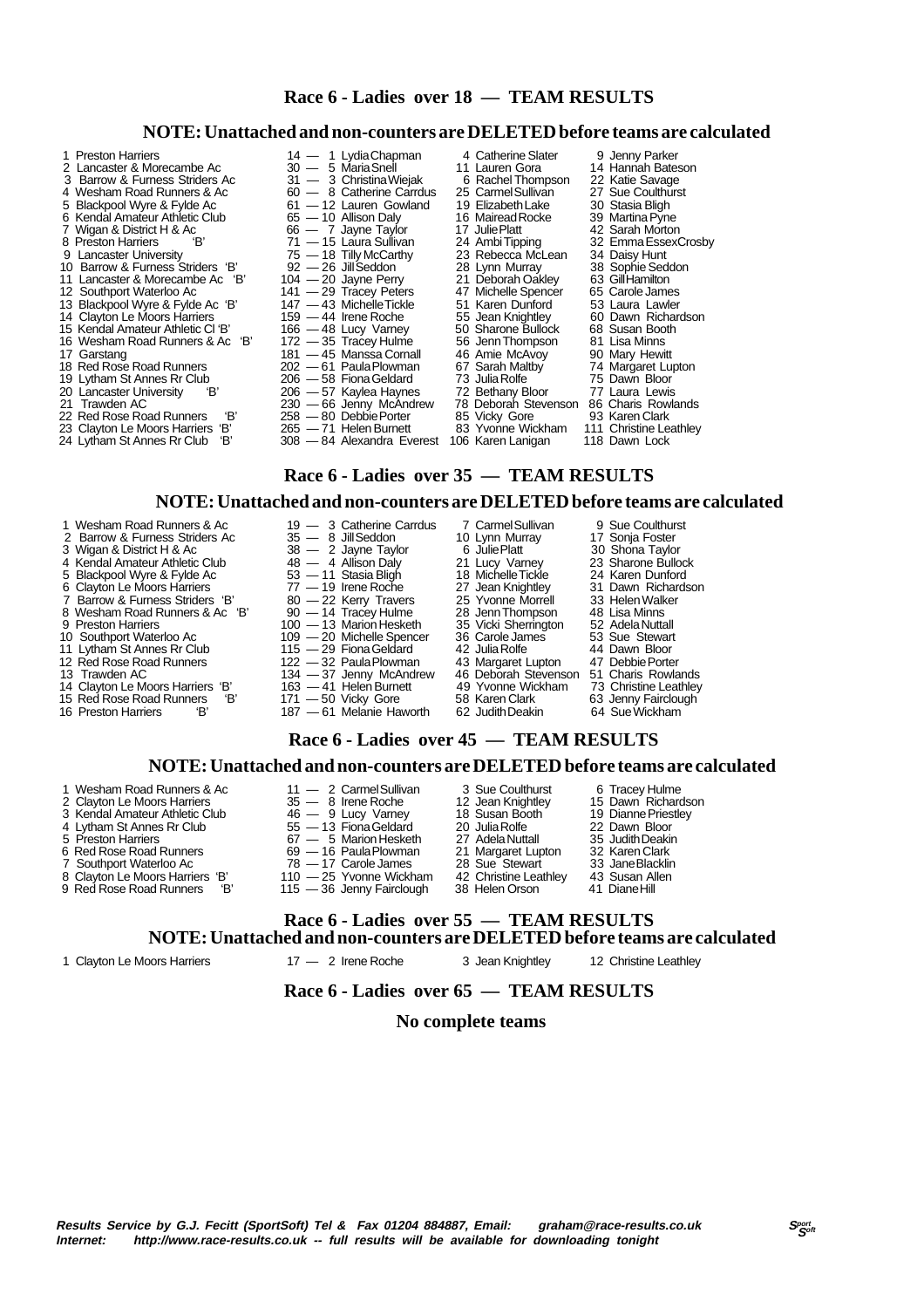# **Race 6 - Ladies over 18 — TEAM RESULTS**

**NOTE: Unattached and non-counters are DELETED before teams are calculated**

| 1 Preston Harriers                | 14 — 1 Lydia Chapman     | 4 Catherine Slater   | 9 Jenny Parker         |
|-----------------------------------|--------------------------|----------------------|------------------------|
| 2 Lancaster & Morecambe Ac        | $30 - 5$ Maria Snell     | 11 Lauren Gora       | 14 Hannah Bateson      |
| 3 Barrow & Furness Striders Ac    | 31 - 3 Christina Wiejak  | 6 Rachel Thompson    | 22 Katie Savage        |
| 4 Wesham Road Runners & Ac        | 60 - 8 Catherine Carrdus | 25 Carmel Sullivan   | 27 Sue Coulthurst      |
| 5 Blackpool Wyre & Fylde Ac       | 61 - 12 Lauren Gowland   | 19 Elizabeth Lake    | 30 Stasia Bligh        |
| 6 Kendal Amateur Athletic Club    | $65 - 10$ Allison Daly   | 16 Mairead Rocke     | 39 Martina Pyne        |
| 7 Wigan & District H & Ac         | $66 - 7$ Jayne Taylor    | 17 Julie Platt       | 42 Sarah Morton        |
| 8 Preston Harriers                | 71 — 15 Laura Sullivan   | 24 Ambi Tipping      | 32 Emma Essex Crosby   |
| 9 Lancaster University            | $75 - 18$ Tilly McCarthy | 23 Rebecca McLean    | 34 Daisy Hunt          |
| 10 Barrow & Furness Striders 'B'  | $92 - 26$ Jill Seddon    | 28 Lynn Murray       | 38 Sophie Seddon       |
| 11 Lancaster & Morecambe Ac 'B'   | $104 - 20$ Jayne Perry   | 21 Deborah Oakley    | 63 Gill Hamilton       |
| 12 Southport Waterloo Ac          | 141 - 29 Tracey Peters   | 47 Michelle Spencer  | 65 Carole James        |
| 13 Blackpool Wyre & Fylde Ac 'B'  | 147 - 43 Michelle Tickle | 51 Karen Dunford     | 53 Laura Lawler        |
| 14 Clayton Le Moors Harriers      | 159 — 44 Irene Roche     | 55 Jean Knightley    | 60 Dawn Richardson     |
| 15 Kendal Amateur Athletic Cl 'B' | $166 - 48$ Lucy Varney   | 50 Sharone Bullock   | 68 Susan Booth         |
| 16 Wesham Road Runners & Ac 'B'   | 172 - 35 Tracey Hulme    | 56 Jenn Thompson     | 81 Lisa Minns          |
| 17 Garstang                       | 181 — 45 Manssa Cornall  | 46 Amie McAvoy       | 90 Mary Hewitt         |
| 18 Red Rose Road Runners          | 202 - 61 Paula Plowman   | 67 Sarah Maltby      | 74 Margaret Lupton     |
| 19 Lytham St Annes Rr Club        | $206 - 58$ Fiona Geldard | 73 Julia Rolfe       | 75 Dawn Bloor          |
| 20 Lancaster University<br>Έ      | 206 — 57 Kaylea Haynes   | 72 Bethany Bloor     | 77 Laura Lewis         |
| 21 Trawden AC                     | 230 - 66 Jenny McAndrew  | 78 Deborah Stevenson | 86 Charis Rowlands     |
| 'В'<br>22 Red Rose Road Runners   | $258 - 80$ Debbie Porter | 85 Vicky Gore        | 93 Karen Clark         |
| 23 Clayton Le Moore Harriere 'R'  | 265  — 71 Halan Rumatt   | 83 Vyonna Wickham    | 111 Chrieting Loathlov |

- 
- 
- 23 Clayton Le Moors Harriers 'B' 265 71 Helen Burnett 83 Yvonne Wickham 111 Christine Leathley<br>24 Lytham St Annes Rr Club 'B' 308 84 Alexandra Everest 106 Karen Lanigan 118 Dawn Lock

 **Race 6 - Ladies over 35 — TEAM RESULTS**

## **NOTE: Unattached and non-counters are DELETED before teams are calculated**

# **Race 6 - Ladies over 45 — TEAM RESULTS**

17 Sanct Water Water 28 Sue Stewart 28 Jane Blacklin<br>178 — 17 Carole James 28 Sue Stewart 33 Jane Blacklin<br>110 — 25 Yvonne Wickham 42 Christine Leathley 43 Susan Allen

### **NOTE: Unattached and non-counters are DELETED before teams are calculated**

- 1 Wesham Road Runners & Ac 11 2 Carmel Sullivan 3 Sue Coulthurst 6 Tracey Hulme<br>2 Clayton Le Moors Harriers 35 8 Irene Roche 12 Jean Knightley 15 Dawn Richardson
- 2 Clayton Le Moors Harriers 35 8 Irene Roche 12 Jean Knightley 15 Dawn Richardson
- 3 Kendal Amateur Athletic Club  $46 9$  Lucy Varney 18 Susan Booth 19 Dianne Priestley<br>
4 Lytham St Annes Rr Club 55 13 Fiona Geldard 20 Julia Rolfe 22 Dawn Bloor<br>
5 Preston Harriers 67 5 Marion Hesketh 27 Adela Nuttall
- 4 Lytham St Annes Rr Club 55 13 Fiona Geldard 20 Julia Rolfe 22 Dawn Bloor 5 Preston Harriers 67 5 Marion Hesketh 27 Adela Nuttall 35 Judith Deakin
- 
- 
- 6 Red Rose Road Runners 69 16 Paula Plowman 21 Margaret Lupton 32 Karen Clark<br>
7 Southport Waterloo Ac 78 17 Carole James 28 Sue Stewart 33 Jane Blacklin<br>
8 Clayton Le Moors Harriers 'B' 110 25 Yvonne Wickham 42 Chri
- 8 Clayton Le Moors Harriers 'B' 110 25 Yvonne Wickham 42 Christine Leathley 43 Susan All<br>9 Red Rose Road Runners 'B' 115 36 Jenny Fairclough 38 Helen Orson 41 Diane Hill
- 
- 

115 - 36 Jenny Fairclough

1 Clayton Le Moors Harriers 17 — 2 Irene Roche 3 Jean Knightley 12 Christine Leathley

## **Race 6 - Ladies over 65 — TEAM RESULTS**

 **Race 6 - Ladies over 55 — TEAM RESULTS**

## **No complete teams**

**NOTE: Unattached and non-counters are DELETED before teams are calculated**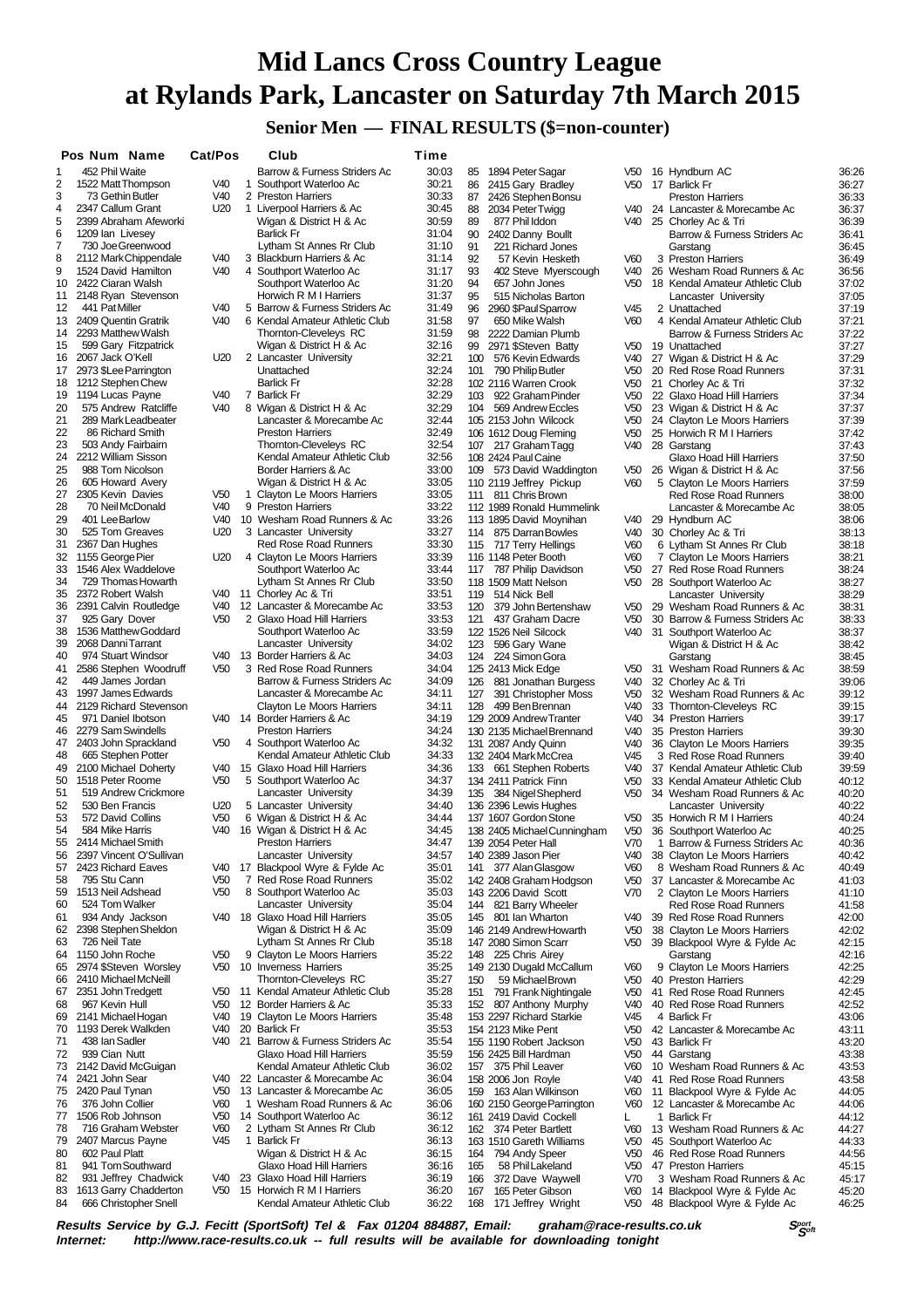# **Mid Lancs Cross Country League at Rylands Park, Lancaster on Saturday 7th March 2015**

 **Senior Men — FINAL RESULTS (\$=non-counter)**

|          | Pos Num Name                                  | Cat/Pos                |              | Club                                                     | Time           |            |                                                    |                                    |    |                                                             |                |
|----------|-----------------------------------------------|------------------------|--------------|----------------------------------------------------------|----------------|------------|----------------------------------------------------|------------------------------------|----|-------------------------------------------------------------|----------------|
| 1        | 452 Phil Waite                                |                        |              | Barrow & Furness Striders Ac                             | 30:03          | 85         | 1894 Peter Sagar                                   | V50                                |    | 16 Hyndburn AC                                              | 36:26          |
| 2        | 1522 Matt Thompson                            | V40                    | 1            | Southport Waterloo Ac                                    | 30:21          | 86         | 2415 Gary Bradley                                  | V50                                |    | 17 Barlick Fr                                               | 36:27          |
| 3        | 73 Gethin Butler                              | V40                    |              | 2 Preston Harriers                                       | 30:33          | 87         | 2426 Stephen Bonsu                                 |                                    |    | <b>Preston Harriers</b>                                     | 36:33          |
| 4<br>5   | 2347 Callum Grant<br>2399 Abraham Afeworki    | U20                    |              | 1 Liverpool Harriers & Ac<br>Wigan & District H & Ac     | 30:45<br>30:59 | 88<br>89   | 2034 Peter Twigg<br>877 Phil Iddon                 | V40                                |    | 24 Lancaster & Morecambe Ac<br>V40 25 Chorley Ac & Tri      | 36:37<br>36:39 |
| 6        | 1209 Ian Livesey                              |                        |              | <b>Barlick Fr</b>                                        | 31:04          | 90         | 2402 Danny Boullt                                  |                                    |    | Barrow & Furness Striders Ac                                | 36:41          |
| 7        | 730 Joe Greenwood                             |                        |              | Lytham St Annes Rr Club                                  | 31:10          | 91         | 221 Richard Jones                                  |                                    |    | Garstang                                                    | 36:45          |
| 8        | 2112 Mark Chippendale                         | V40                    |              | 3 Blackburn Harriers & Ac                                | 31:14          | 92         | 57 Kevin Hesketh                                   | V60                                |    | 3 Preston Harriers                                          | 36:49          |
| 9        | 1524 David Hamilton                           | V40                    |              | 4 Southport Waterloo Ac                                  | 31:17          | 93         | 402 Steve Myerscough                               | V40                                |    | 26 Wesham Road Runners & Ac                                 | 36:56          |
| 10       | 2422 Ciaran Walsh                             |                        |              | Southport Waterloo Ac                                    | 31:20          | 94         | 657 John Jones                                     | V <sub>50</sub>                    |    | 18 Kendal Amateur Athletic Club                             | 37:02          |
| 11<br>12 | 2148 Ryan Stevenson<br>441 Pat Miller         | V40                    |              | Horwich R M I Harriers<br>5 Barrow & Furness Striders Ac | 31:37<br>31:49 | 95<br>96   | 515 Nicholas Barton<br>2960 \$Paul Sparrow         | V45                                |    | Lancaster University<br>2 Unattached                        | 37:05<br>37:19 |
| 13       | 2409 Quentin Gratrik                          | V40                    |              | 6 Kendal Amateur Athletic Club                           | 31:58          | 97         | 650 Mike Walsh                                     | V60                                |    | 4 Kendal Amateur Athletic Club                              | 37:21          |
| 14       | 2293 Matthew Walsh                            |                        |              | Thornton-Cleveleys RC                                    | 31:59          | 98         | 2222 Damian Plumb                                  |                                    |    | Barrow & Furness Striders Ac                                | 37:22          |
| 15       | 599 Gary Fitzpatrick                          |                        |              | Wigan & District H & Ac                                  | 32:16          |            | 99 2971 \$Steven Batty                             | V50                                |    | 19 Unattached                                               | 37:27          |
| 16       | 2067 Jack O'Kell                              | U20                    |              | 2 Lancaster University                                   | 32:21          | 100        | 576 Kevin Edwards                                  | V40                                |    | 27 Wigan & District H & Ac                                  | 37:29          |
| 17       | 2973 \$Lee Parrington                         |                        |              | Unattached                                               | 32:24          |            | 101 790 Philip Butler                              | V <sub>50</sub>                    |    | 20 Red Rose Road Runners                                    | 37:31          |
| 18<br>19 | 1212 Stephen Chew<br>1194 Lucas Payne         | V <sub>40</sub>        |              | <b>Barlick Fr</b><br>7 Barlick Fr                        | 32:28<br>32:29 | 103        | 102 2116 Warren Crook<br>922 Graham Pinder         | V <sub>50</sub><br>V50             |    | 21 Chorley Ac & Tri<br>22 Glaxo Hoad Hill Harriers          | 37:32<br>37:34 |
| 20       | 575 Andrew Ratcliffe                          | V40                    |              | 8 Wigan & District H & Ac                                | 32:29          |            | 104 569 Andrew Eccles                              | V <sub>50</sub>                    |    | 23 Wigan & District H & Ac                                  | 37:37          |
| 21       | 289 Mark Leadbeater                           |                        |              | Lancaster & Morecambe Ac                                 | 32:44          |            | 105 2153 John Wilcock                              | V <sub>50</sub>                    |    | 24 Clayton Le Moors Harriers                                | 37:39          |
| 22       | 86 Richard Smith                              |                        |              | <b>Preston Harriers</b>                                  | 32:49          |            | 106 1612 Doug Fleming                              | V <sub>50</sub>                    |    | 25 Horwich R M I Harriers                                   | 37:42          |
| 23       | 503 Andy Fairbairn                            |                        |              | Thornton-Cleveleys RC                                    | 32:54          |            | 107 217 Graham Tagg                                | V40                                |    | 28 Garstang                                                 | 37:43          |
| 24       | 2212 William Sisson                           |                        |              | Kendal Amateur Athletic Club                             | 32:56          |            | 108 2424 Paul Caine                                |                                    |    | Glaxo Hoad Hill Harriers                                    | 37:50          |
| 25       | 988 Tom Nicolson                              |                        |              | Border Harriers & Ac<br>Wigan & District H & Ac          | 33:00          |            | 109 573 David Waddington                           | V50                                |    | 26 Wigan & District H & Ac                                  | 37:56          |
| 26<br>27 | 605 Howard Avery<br>2305 Kevin Davies         | V <sub>50</sub>        |              | 1 Clayton Le Moors Harriers                              | 33:05<br>33:05 |            | 110 2119 Jeffrey Pickup<br>111 811 Chris Brown     | V60                                |    | 5 Clayton Le Moors Harriers<br><b>Red Rose Road Runners</b> | 37:59<br>38:00 |
| 28       | 70 Neil McDonald                              | V40                    |              | 9 Preston Harriers                                       | 33:22          |            | 112 1989 Ronald Hummelink                          |                                    |    | Lancaster & Morecambe Ac                                    | 38:05          |
| 29       | 401 Lee Barlow                                | V40                    |              | 10 Wesham Road Runners & Ac                              | 33:26          |            | 113 1895 David Moynihan                            | V40                                |    | 29 Hyndburn AC                                              | 38:06          |
| 30       | 525 Tom Greaves                               | U20                    |              | 3 Lancaster University                                   | 33:27          |            | 114 875 Darran Bowles                              | V40                                |    | 30 Chorley Ac & Tri                                         | 38:13          |
| 31       | 2367 Dan Hughes                               |                        |              | <b>Red Rose Road Runners</b>                             | 33:30          |            | 115 717 Terry Hellings                             | V <sub>60</sub>                    |    | 6 Lytham St Annes Rr Club                                   | 38:18          |
| 32       | 1155 George Pier                              | U20                    |              | 4 Clayton Le Moors Harriers                              | 33:39          |            | 116 1148 Peter Booth                               | V60                                |    | 7 Clayton Le Moors Harriers                                 | 38:21          |
| 33<br>34 | 1546 Alex Waddelove<br>729 Thomas Howarth     |                        |              | Southport Waterloo Ac<br>Lytham St Annes Rr Club         | 33:44<br>33:50 |            | 117 787 Philip Davidson<br>118 1509 Matt Nelson    | V <sub>50</sub><br>V <sub>50</sub> |    | 27 Red Rose Road Runners                                    | 38:24<br>38:27 |
| 35       | 2372 Robert Walsh                             |                        |              | V40 11 Chorley Ac & Tri                                  | 33:51          | 119        | 514 Nick Bell                                      |                                    |    | 28 Southport Waterloo Ac<br>Lancaster University            | 38:29          |
| 36       | 2391 Calvin Routledge                         | V40                    |              | 12 Lancaster & Morecambe Ac                              | 33:53          | 120        | 379 John Bertenshaw                                | V <sub>50</sub>                    |    | 29 Wesham Road Runners & Ac                                 | 38:31          |
| 37       | 925 Gary Dover                                | V <sub>50</sub>        |              | 2 Glaxo Hoad Hill Harriers                               | 33:53          | 121        | 437 Graham Dacre                                   | V <sub>50</sub>                    |    | 30 Barrow & Furness Striders Ac                             | 38:33          |
| 38       | 1536 Matthew Goddard                          |                        |              | Southport Waterloo Ac                                    | 33:59          |            | 122 1526 Neil Silcock                              | V40                                |    | 31 Southport Waterloo Ac                                    | 38:37          |
| 39       | 2068 Danni Tarrant                            |                        |              | Lancaster University                                     | 34:02          | 123        | 596 Gary Wane                                      |                                    |    | Wigan & District H & Ac                                     | 38:42          |
| 40<br>41 | 974 Stuart Windsor                            | V <sub>50</sub>        |              | V40 13 Border Harriers & Ac<br>3 Red Rose Road Runners   | 34:03          |            | 124 224 Simon Gora                                 |                                    |    | Garstang                                                    | 38:45          |
| 42       | 2586 Stephen Woodruff<br>449 James Jordan     |                        |              | Barrow & Furness Striders Ac                             | 34:04<br>34:09 | 126        | 125 2413 Mick Edge<br>881 Jonathan Burgess         | V50<br>V40                         |    | 31 Wesham Road Runners & Ac<br>32 Chorley Ac & Tri          | 38:59<br>39:06 |
| 43       | 1997 James Edwards                            |                        |              | Lancaster & Morecambe Ac                                 | 34:11          | 127        | 391 Christopher Moss                               | V <sub>50</sub>                    |    | 32 Wesham Road Runners & Ac                                 | 39:12          |
| 44       | 2129 Richard Stevenson                        |                        |              | Clayton Le Moors Harriers                                | 34:11          | 128        | 499 Ben Brennan                                    | V40                                |    | 33 Thornton-Cleveleys RC                                    | 39:15          |
| 45       | 971 Daniel Ibotson                            |                        |              | V40 14 Border Harriers & Ac                              | 34:19          |            | 129 2009 Andrew Tranter                            | V40                                |    | 34 Preston Harriers                                         | 39:17          |
| 46       | 2279 Sam Swindells                            |                        |              | <b>Preston Harriers</b>                                  | 34:24          |            | 130 2135 Michael Brennand                          | V40                                |    | 35 Preston Harriers                                         | 39:30          |
| 47<br>48 | 2403 John Sprackland<br>665 Stephen Potter    | V <sub>50</sub>        |              | 4 Southport Waterloo Ac<br>Kendal Amateur Athletic Club  | 34:32<br>34:33 |            | 131 2087 Andy Quinn                                | V40<br>V45                         |    | 36 Clayton Le Moors Harriers<br>3 Red Rose Road Runners     | 39:35<br>39:40 |
| 49       | 2100 Michael Doherty                          | V40                    |              | 15 Glaxo Hoad Hill Harriers                              | 34:36          |            | 132 2404 Mark McCrea<br>133 661 Stephen Roberts    | V40                                |    | 37 Kendal Amateur Athletic Club                             | 39:59          |
| 50       | 1518 Peter Roome                              | V <sub>50</sub>        |              | 5 Southport Waterloo Ac                                  | 34:37          |            | 134 2411 Patrick Finn                              | V <sub>50</sub>                    |    | 33 Kendal Amateur Athletic Club                             | 40:12          |
| 51       | 519 Andrew Crickmore                          |                        |              | Lancaster University                                     | 34:39          | 135        | 384 Nigel Shepherd                                 | V <sub>50</sub>                    |    | 34 Wesham Road Runners & Ac                                 | 40:20          |
| 52       | 530 Ben Francis                               | U <sub>20</sub>        |              | 5 Lancaster University                                   | 34:40          |            | 136 2396 Lewis Hughes                              |                                    |    | Lancaster University                                        | 40:22          |
| 53       | 572 David Collins                             | V <sub>50</sub>        |              | 6 Wigan & District H & Ac                                | 34:44          |            | 137 1607 Gordon Stone                              | V50                                |    | 35 Horwich R M I Harriers                                   | 40:24          |
| 54<br>55 | 584 Mike Harris<br>2414 Michael Smith         | V40                    |              | 16 Wigan & District H & Ac<br><b>Preston Harriers</b>    | 34:45<br>34:47 |            | 138 2405 Michael Cunningham<br>139 2054 Peter Hall | V50<br>V70                         |    | 36 Southport Waterloo Ac<br>1 Barrow & Furness Striders Ac  | 40:25<br>40:36 |
| 56       | 2397 Vincent O'Sullivan                       |                        |              | Lancaster University                                     | 34:57          |            | 140 2389 Jason Pier                                | V40                                |    | 38 Clayton Le Moors Harriers                                | 40:42          |
| 57       | 2423 Richard Eaves                            |                        |              | V40 17 Blackpool Wyre & Fylde Ac                         | 35:01          | 141        | 377 Alan Glasgow                                   | V60                                |    | 8 Wesham Road Runners & Ac                                  | 40:49          |
| 58       | 795 Stu Cann                                  | V <sub>50</sub>        | 7            | Red Rose Road Runners                                    | 35:02          |            | 142 2408 Graham Hodgson                            | V50                                |    | 37 Lancaster & Morecambe Ac                                 | 41:03          |
| 59       | 1513 Neil Adshead                             | V <sub>50</sub>        |              | 8 Southport Waterloo Ac                                  | 35:03          |            | 143 2206 David Scott                               | V70                                |    | 2 Clayton Le Moors Harriers                                 | 41:10          |
| 60       | 524 Tom Walker                                |                        |              | Lancaster University                                     | 35:04          |            | 144 821 Barry Wheeler                              |                                    |    | Red Rose Road Runners                                       | 41:58          |
| 61<br>62 | 934 Andy Jackson<br>2398 Stephen Sheldon      | V40                    |              | 18 Glaxo Hoad Hill Harriers<br>Wigan & District H & Ac   | 35:05<br>35:09 | 145        | 801 Ian Wharton<br>146 2149 Andrew Howarth         | V40<br>V <sub>50</sub>             |    | 39 Red Rose Road Runners<br>38 Clayton Le Moors Harriers    | 42:00<br>42:02 |
| 63       | 726 Neil Tate                                 |                        |              | Lytham St Annes Rr Club                                  | 35:18          |            | 147 2080 Simon Scarr                               | V <sub>50</sub>                    |    | 39 Blackpool Wyre & Fylde Ac                                | 42:15          |
| 64       | 1150 John Roche                               | V <sub>50</sub>        |              | 9 Clayton Le Moors Harriers                              | 35:22          |            | 148 225 Chris Airey                                |                                    |    | Garstang                                                    | 42:16          |
| 65       | 2974 \$Steven Worsley                         | V <sub>50</sub>        |              | 10 Inverness Harriers                                    | 35:25          |            | 149 2130 Dugald McCallum                           | V60                                |    | 9 Clayton Le Moors Harriers                                 | 42:25          |
| 66       | 2410 Michael McNeill                          |                        |              | Thornton-Cleveleys RC                                    | 35:27          | 150        | 59 Michael Brown                                   | V <sub>50</sub>                    |    | 40 Preston Harriers                                         | 42:29          |
| 67       | 2351 John Tredgett                            | V <sub>50</sub>        |              | 11 Kendal Amateur Athletic Club                          | 35:28          | 151        | 791 Frank Nightingale                              | V <sub>50</sub>                    | 41 | Red Rose Road Runners                                       | 42:45          |
| 68<br>69 | 967 Kevin Hull<br>2141 Michael Hogan          | V <sub>50</sub><br>V40 |              | 12 Border Harriers & Ac<br>19 Clayton Le Moors Harriers  | 35:33<br>35:48 | 152        | 807 Anthony Murphy<br>153 2297 Richard Starkie     | V40<br>V45                         |    | 40 Red Rose Road Runners<br>4 Barlick Fr                    | 42:52<br>43:06 |
| 70       | 1193 Derek Walkden                            | V40                    |              | 20 Barlick Fr                                            | 35:53          |            | 154 2123 Mike Pent                                 | V <sub>50</sub>                    |    | 42 Lancaster & Morecambe Ac                                 | 43:11          |
| 71       | 438 Ian Sadler                                | V40                    |              | 21 Barrow & Furness Striders Ac                          | 35:54          |            | 155 1190 Robert Jackson                            | V <sub>50</sub>                    |    | 43 Barlick Fr                                               | 43:20          |
| 72       | 939 Cian Nutt                                 |                        |              | Glaxo Hoad Hill Harriers                                 | 35:59          |            | 156 2425 Bill Hardman                              | V <sub>50</sub>                    |    | 44 Garstang                                                 | 43:38          |
| 73       | 2142 David McGuigan                           |                        |              | Kendal Amateur Athletic Club                             | 36:02          | 157        | 375 Phil Leaver                                    | V60                                |    | 10 Wesham Road Runners & Ac                                 | 43:53          |
| 74       | 2421 John Sear                                | V40                    |              | 22 Lancaster & Morecambe Ac                              | 36:04          |            | 158 2006 Jon Royle                                 | V40                                |    | 41 Red Rose Road Runners                                    | 43:58          |
| 75<br>76 | 2420 Paul Tynan<br>376 John Collier           | V50<br>V60             | $\mathbf{1}$ | 13 Lancaster & Morecambe Ac<br>Wesham Road Runners & Ac  | 36:05<br>36:06 | 159        | 163 Alan Wilkinson<br>160 2150 George Parrington   | V60<br>V60                         |    | 11 Blackpool Wyre & Fylde Ac<br>12 Lancaster & Morecambe Ac | 44:05<br>44:06 |
| 77       | 1506 Rob Johnson                              | V <sub>50</sub>        |              | 14 Southport Waterloo Ac                                 | 36:12          |            | 161 2419 David Cockell                             | L                                  |    | 1 Barlick Fr                                                | 44:12          |
| 78       | 716 Graham Webster                            | V60                    |              | 2 Lytham St Annes Rr Club                                | 36:12          |            | 162 374 Peter Bartlett                             | V60                                |    | 13 Wesham Road Runners & Ac                                 | 44:27          |
| 79       | 2407 Marcus Payne                             | V45                    | $\mathbf{1}$ | <b>Barlick Fr</b>                                        | 36:13          |            | 163 1510 Gareth Williams                           | V <sub>50</sub>                    |    | 45 Southport Waterloo Ac                                    | 44:33          |
| 80       | 602 Paul Platt                                |                        |              | Wigan & District H & Ac                                  | 36:15          | 164        | 794 Andy Speer                                     | V <sub>50</sub>                    |    | 46 Red Rose Road Runners                                    | 44:56          |
| 81       | 941 Tom Southward                             |                        |              | Glaxo Hoad Hill Harriers                                 | 36:16          | 165        | 58 Phil Lakeland                                   | V <sub>50</sub>                    |    | 47 Preston Harriers                                         | 45:15          |
| 82<br>83 | 931 Jeffrey Chadwick<br>1613 Garry Chadderton | V40<br>V50             |              | 23 Glaxo Hoad Hill Harriers<br>15 Horwich R M I Harriers | 36:19<br>36:20 | 166<br>167 | 372 Dave Waywell<br>165 Peter Gibson               | V70<br>V60                         |    | 3 Wesham Road Runners & Ac<br>14 Blackpool Wyre & Fylde Ac  | 45:17<br>45:20 |
| 84       | 666 Christopher Snell                         |                        |              | Kendal Amateur Athletic Club                             | 36:22          | 168        | 171 Jeffrey Wright                                 | V <sub>50</sub>                    |    | 48 Blackpool Wyre & Fylde Ac                                | 46:25          |

**Results Service by G.J. Fecitt (SportSoft) Tel & Fax 01204 884887, Email: graham@race-results.co.uk S<sup>port</sup>on S<sup>port</sup>on Constant Constant Constant Constant Constant Constant Constant Constant Constant Property Internet: h** http://www.race-results.co.uk -- full results will be available for downloading tonight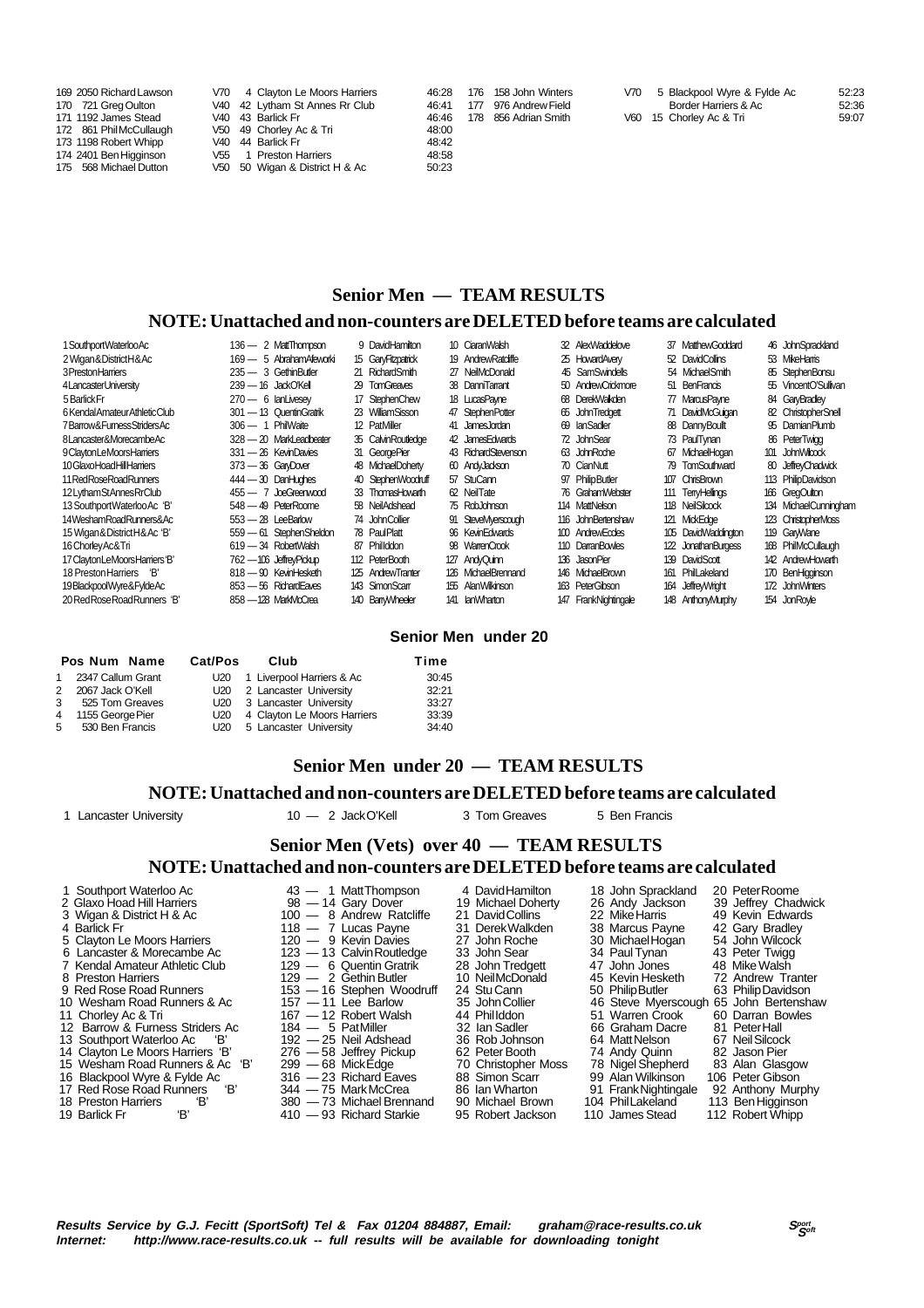| 169 2050 Richard Lawson<br>170 721 Greg Oulton<br>171 1192 James Stead<br>172 861 Phil McCullaugh<br>173 1198 Robert Whipp | V70 4 Clayton Le Moors Harriers<br>V40 42 Lytham St Annes Rr Club<br>V40 43 Barlick Fr<br>V50 49 Chorley Ac & Tri<br>V40 44 Barlick Fr<br>V55 | 176 158 John Winters<br>46:28<br>46:41<br>976 Andrew Field<br>177<br>856 Adrian Smith<br>46:46<br>178<br>48:00<br>48:42 | V70 5 Blackpool Wyre & Fylde Ac<br>Border Harriers & Ac<br>V60 15 Chorley Ac & Tri | 52:23<br>52:36<br>59:07 |
|----------------------------------------------------------------------------------------------------------------------------|-----------------------------------------------------------------------------------------------------------------------------------------------|-------------------------------------------------------------------------------------------------------------------------|------------------------------------------------------------------------------------|-------------------------|
| 174 2401 Ben Higginson<br>175 568 Michael Dutton                                                                           | 1 Preston Harriers<br>V50 50 Wigan & District H & Ac                                                                                          | 48:58<br>50:23                                                                                                          |                                                                                    |                         |

# **Senior Men — TEAM RESULTS**

### **NOTE: Unattached and non-counters are DELETED before teams are calculated**

| 1 Southport Waterloo Ac         | 136 — 2 MattThompson     | 9 DavidHamilton     | 10 CiaranWalsh      | 32 AlexWaddelove     | 37 MatthewGoddard   | 46 JohnSprackland     |
|---------------------------------|--------------------------|---------------------|---------------------|----------------------|---------------------|-----------------------|
| 2 Wigan & District H & Ac       | 169 — 5 Abraham Afeworki | 15 GaryFitzpatrick  | 19 Andrew Ratcliffe | 25 HowardAvery       | 52 DavidCollins     | 53 MikeHamis          |
| 3 Preston Harriers              | $235 - 3$ Gethin Butler  | 21 RichardSmith     | 27 NeilMcDonald     | 45 SamSwindells      | 54 MichaelSmith     | 85 StephenBonsu       |
| 4LancasterUniversity            | $239 - 16$ JackO'Kell    | 29 TomGreaves       | 38 DanniTarrant     | 50 AndrewCrickmore   | 51 BenFrancis       | 55 VincentO'Sullivan  |
| 5 Barlick Fr                    | $270 - 6$ lan Livesev    | 17 StephenChew      | 18 LucasPayne       | 68 DerekWalkden      | 77 MarcusPayne      | 84 GaryBradley        |
| 6 Kendal Amateur Athletic Club  | 301 - 13 Quentin Gratrik | 23 WilliamSisson    | 47 StephenPotter    | 65 JohnTredgett      | 71 DavidMcGuigan    | 82 ChristopherSnell   |
| 7Barrow&FumessStridersAc        | $306 - 1$ PhilWaite      | 12 PatMiller        | 41 JamesJordan      | 69 lanSadler         | 88 DannyBoullt      | 95 DamianPlumb        |
| 8Lancaster&MorecambeAc          | 328 - 20 MarkLeadbeater  | 35 Calvin Routledge | 42 James Edwards    | 72 JohnSear          | 73 PaulTynan        | 86 PeterTwigg         |
| 9 Clayton LeMoors Harriers      | 331 - 26 KevinDavies     | 31 GeorgePier       | 43 RichardStevenson | 63 JohnRoche         | 67 MichaelHogan     | 101 John Wilcock      |
| 10 Glaxo Hoad Hill Harriers     | $373 - 36$ GaryDover     | 48 MichaelDoherty   | 60 AndyJackson      | 70 CianNutt          | 79 TomSouthward     | 80 JeffreyChadwick    |
| 11 Red Rose Road Runners        | $444 - 30$ DanHughes     | 40 StephenWoodruff  | 57 StuCann          | 97 PhilipButler      | 107 ChrisBrown      | 113 PhilipDavidson    |
| 12 Lytham StAnnes RrClub        | $455 - 7$ JoeGreenwood   | 33 ThomasHowarth    | 62 NeilTate         | 76 GrahamWebster     | 111 TerryHellings   | 166 GregOutton        |
| 13 Southport Waterloo Ac 'B'    | 548 - 49 PeterRoome      | 58 NeilAdshead      | 75 RobJohnson       | 114 MattNelson       | 118 NeilSilcock     | 134 MichaelCunningham |
| 14WeshamRoadRunners&Ac          | $553 - 28$ LeeBarlow     | 74 John Collier     | 91 SteveMverscough  | 116 JohnBertenshaw   | 121 MickEdge        | 123 ChristopherMoss   |
| 15 Wigan & District H & Ac 'B'  | 559 - 61 StephenSheldon  | 78 PaulPlatt        | 96 Kevin Edwards    | 100 AndrewEccles     | 105 DavidWaddington | 119 GarWane           |
| 16 Chorley Ac& Tri              | 619 - 34 RobertWalsh     | 87 Phillddon        | 98 WarrenCrook      | 110 DarranBowles     | 122 JonathanBurgess | 168 PhilMcCullaugh    |
| 17 Clayton LeMoors Harriers 'B' | 762 — 106 JeffreyPickup  | 112 PeterBooth      | 127 AndyQuinn       | 136 JasonPier        | 139 DavidScott      | 142 AndrewHowarth     |
| 18 Preston Harriers 'B'         | 818 - 90 KevinHesketh    | 125 AndrewTranter   | 126 MichaelBrennand | 146 MichaelBrown     | 161 PhilLakeland    | 170 BenHigginson      |
| 19 Blackpool Wyre& Fylde Ac     | 853 - 56 RichardEaves    | 143 SimonScarr      | 155 AlanWilkinson   | 163 PeterGibson      | 164 JeffreyWright   | 172 JohnWinters       |
| 20 Red Rose Road Runners 'B'    | 858 - 128 MarkMcCrea     | 140 BanyWheeler     | 141 lanWharton      | 147 FrankNightingale | 148 AnthonyMurphy   | 154 JonRoyle          |

### **Senior Men under 20**

|                | Pos Num Name        | <b>Cat/Pos</b> | Club                            | Time  |
|----------------|---------------------|----------------|---------------------------------|-------|
|                | 1 2347 Callum Grant |                | U20 1 Liverpool Harriers & Ac   | 30:45 |
| 2              | 2067 Jack O'Kell    |                | U20 2 Lancaster University      | 32:21 |
|                | 3 525 Tom Greaves   |                | U20 3 Lancaster University      | 33:27 |
| $\overline{4}$ | 1155 George Pier    |                | U20 4 Clayton Le Moors Harriers | 33:39 |
|                | 5 530 Ben Francis   |                | U20 5 Lancaster University      | 34:40 |

## **Senior Men under 20 — TEAM RESULTS**

### **NOTE: Unattached and non-counters are DELETED before teams are calculated**

1 Lancaster University 10 — 2 Jack O'Kell 3 Tom Greaves 5 Ben Francis

 **Senior Men (Vets) over 40 — TEAM RESULTS**

**NOTE: Unattached and non-counters are DELETED before teams are calculated**

 1 Southport Waterloo Ac 43 — 1 Matt Thompson 4 David Hamilton 18 John Sprackland 20 Peter Roome 2 Glaxo Hoad Hill Harriers 98 — 14 Gary Dover 19 Michael Doherty 26 Andy Jackson 39 Jeffrey Chadwick

- 
- 
- 
- 
- 7 Kendal Amateur Athletic Club 129 6 Quentin Gratrik 28 John Tredgett 47 John Jones 48 Mike Walsh
- 8 Preston Harriers **129 2 Gethin Butler** 10 Neil McDonald 45 Kevin Hesketh 72 Andrew Tranter
- 
- 
- 
- 
- 
- 14 Clayton Le Moors Harriers 'B' 276 58 Jeffrey Pickup 62 Peter Booth 74 Andy Quinn 82 Jason Pier
- 
- 
- 
- 

Lancaster & Morecambe Ac 123 — 13 Calvin Routledge 33 John Sear 34 Paul Tynan 43 Peter Twigg<br>
Kendal Amateur Athletic Club 129 — 6 Quentin Gratrik 28 John Tredgett 47 John Jones 48 Mike Walsh<br>
Preston Harriers 12 Andrew Tr 9 Red Rose Road Runners 153 - 16 Stephen Woodruff 24 Stu Cann 50 Philip Butler 63 Philip Davidson<br>16 Stephen Woodruff 24 Stu Cann 50 Philip Butler 63 Philip Davidson<br>167 - 12 Robert Walsh 14 Phillddon 51 Warren Crook 60 Da 10 Wesham Road Runners & Ac 157 — 11 Lee Barlow 35 John Collier 46 Steve Myerscough 65 John Bertenshaw<br>11 Chorley Ac & Tri 167 — 12 Robert Walsh 44 Phillddon 51 Warren Crook 60 Darran Bowles 11 11 Chorley Ac Barlow 35 John Collier 167 — 11 Lee Barlow 35 John Collier 167 — 12 Robert Walsh 44 Phil Iddon 51 Warren Crook 60 Darran Bowles 184 — 5 PatMiller 32 Ian Sadler 66 Graham Dacre 81 Peter Hall

- 
- 
- 
- 
- 18 Preston Harriers 'B' 380 73 Michael Brennand 90 Michael Brown 104 Phil Lakeland 113 Ben Higginson
- 19 Barlick Fr 'B' 410 93 Richard Starkie 95 Robert Jackson 110 James Stead 112 Robert Whipp

 3 Wigan & District H & Ac 100 — 8 Andrew Ratcliffe 21 David Collins 22 Mike Harris 49 Kevin Edwards 4 Barlick Fr 118 — 7 Lucas Payne 31 Derek Walkden 38 Marcus Payne 42 Gary Bradley Francisco Constitution Contract Constitution Constitution 25 Clayton Le Moors Harriers 120 — 9 Kevin Davies 27 John Roche 30 Michael Hogan 54 John Wilcock<br>5 Clayton Le Moors Harriers 120 — 9 Kevin Davies 27 John Roche 30 M 12 Barrow & Furness Striders Ac at 184 — 5 Pat Miller and 32 Ian Sadler and 66 Graham Dacre 81 Peter Hall<br>13 Southport Waterloo Ac 'B' a 192 — 25 Neil Adshead 36 Rob Johnson 64 Matt Nelson 67 Neil Silcock<br>14 Clayton Le Moo 13 Southport Waterloo Ac 'B' 192 — 25 Neil Adshead 36 Rob Johnson 64 Matt Nelson 67 Neil Silcock 15 Wesham Road Runners & Ac 'B' 299 — 68 Mick Edge 70 Christopher Moss 78 Nigel Shepherd 83 Alan Glasgow 16 Blackpool Wyre & Fylde Ac 316 — 23 Richard Eaves 88 Simon Scarr 99 Alan Wilkinson 106 Peter Gibson 17 Red Rose Road Runners 18' 344 — 75 Mark McCrea 86 Ian Wharton 91 Frank Nightingale 92 Anthony Murphy 17 Red Rose Road Runners 'B' 344 — 75 Mark McCrea 86 Ian Wharton 91 Frank Nightingale 92 Anthony Murph<br>18 Preston Harriers 'B' 380 — 73 Michael Brennand 90 Michael Brown 104 Phil Lakeland 113 Ben Higginson<br>19 Barlick Fr 'B

- 
- 
- 
- -